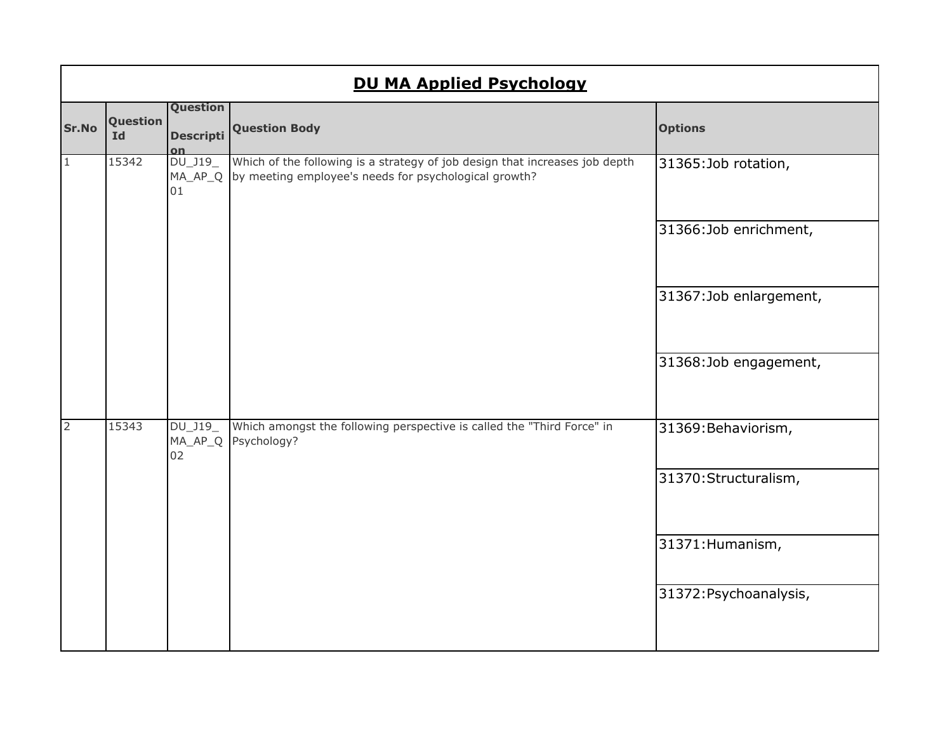|                | <b>DU MA Applied Psychology</b> |                              |                                                                                                                                      |                        |  |
|----------------|---------------------------------|------------------------------|--------------------------------------------------------------------------------------------------------------------------------------|------------------------|--|
| Sr.No          | Question<br><b>Id</b>           | Question<br><b>Descripti</b> | <b>Question Body</b>                                                                                                                 | <b>Options</b>         |  |
| $\mathbf{1}$   | 15342                           | DU_J19_<br>MA_AP_Q<br>01     | Which of the following is a strategy of job design that increases job depth<br>by meeting employee's needs for psychological growth? | 31365:Job rotation,    |  |
|                |                                 |                              |                                                                                                                                      | 31366:Job enrichment,  |  |
|                |                                 |                              |                                                                                                                                      | 31367:Job enlargement, |  |
|                |                                 |                              |                                                                                                                                      | 31368:Job engagement,  |  |
| $\overline{2}$ | 15343                           | DU_J19_<br>MA_AP_Q<br>02     | Which amongst the following perspective is called the "Third Force" in<br>Psychology?                                                | 31369: Behaviorism,    |  |
|                |                                 |                              |                                                                                                                                      | 31370: Structuralism,  |  |
|                |                                 |                              |                                                                                                                                      | 31371: Humanism,       |  |
|                |                                 |                              |                                                                                                                                      | 31372: Psychoanalysis, |  |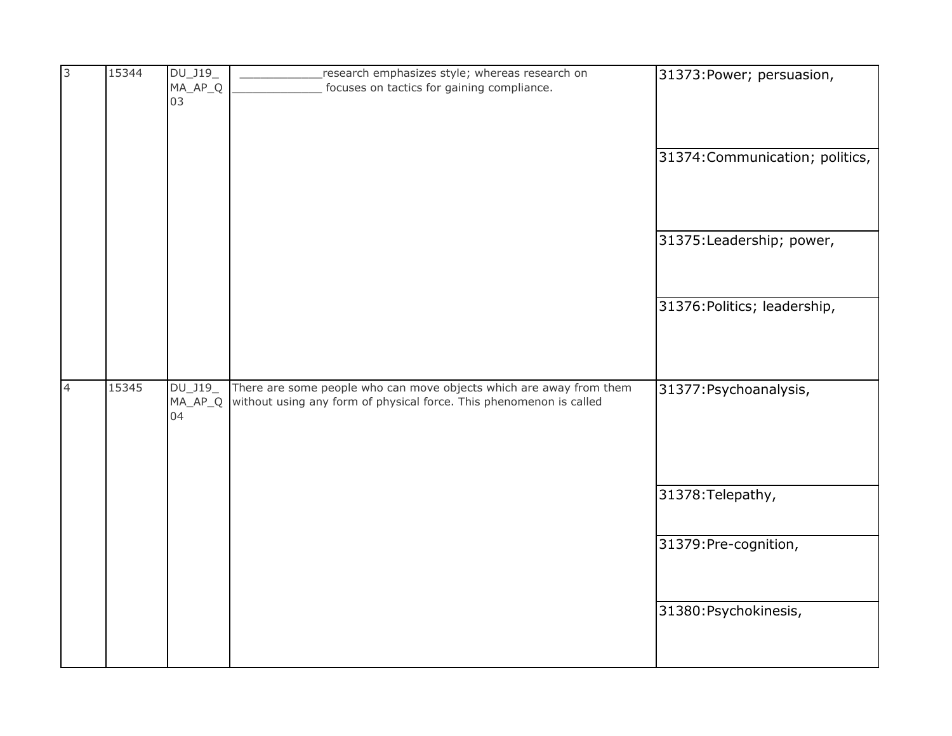| m,             | 15344 | DU_J19_   | research emphasizes style; whereas research on                      | 31373: Power; persuasion,       |
|----------------|-------|-----------|---------------------------------------------------------------------|---------------------------------|
|                |       | $MA_AP_Q$ | focuses on tactics for gaining compliance.                          |                                 |
|                |       | 03        |                                                                     |                                 |
|                |       |           |                                                                     |                                 |
|                |       |           |                                                                     |                                 |
|                |       |           |                                                                     | 31374: Communication; politics, |
|                |       |           |                                                                     |                                 |
|                |       |           |                                                                     |                                 |
|                |       |           |                                                                     |                                 |
|                |       |           |                                                                     |                                 |
|                |       |           |                                                                     | 31375: Leadership; power,       |
|                |       |           |                                                                     |                                 |
|                |       |           |                                                                     |                                 |
|                |       |           |                                                                     |                                 |
|                |       |           |                                                                     | 31376: Politics; leadership,    |
|                |       |           |                                                                     |                                 |
|                |       |           |                                                                     |                                 |
|                |       |           |                                                                     |                                 |
|                |       |           |                                                                     |                                 |
| $\overline{4}$ | 15345 | DU_J19_   | There are some people who can move objects which are away from them | 31377: Psychoanalysis,          |
|                |       | $MA_AP_Q$ | without using any form of physical force. This phenomenon is called |                                 |
|                |       | 04        |                                                                     |                                 |
|                |       |           |                                                                     |                                 |
|                |       |           |                                                                     |                                 |
|                |       |           |                                                                     |                                 |
|                |       |           |                                                                     |                                 |
|                |       |           |                                                                     | 31378: Telepathy,               |
|                |       |           |                                                                     |                                 |
|                |       |           |                                                                     |                                 |
|                |       |           |                                                                     | 31379: Pre-cognition,           |
|                |       |           |                                                                     |                                 |
|                |       |           |                                                                     |                                 |
|                |       |           |                                                                     |                                 |
|                |       |           |                                                                     | 31380: Psychokinesis,           |
|                |       |           |                                                                     |                                 |
|                |       |           |                                                                     |                                 |
|                |       |           |                                                                     |                                 |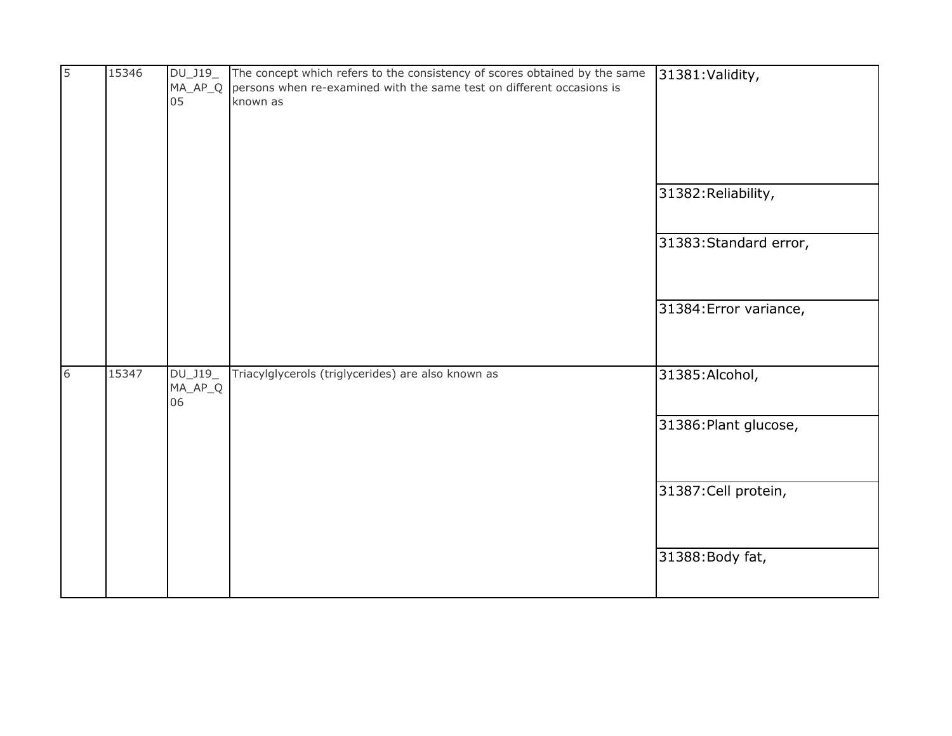| $\overline{5}$ | 15346 | 05                          | DU_J19_ The concept which refers to the consistency of scores obtained by the same<br>MA_AP_Q persons when re-examined with the same test on different occasions is<br>known as | 31381: Validity,       |
|----------------|-------|-----------------------------|---------------------------------------------------------------------------------------------------------------------------------------------------------------------------------|------------------------|
|                |       |                             |                                                                                                                                                                                 | 31382: Reliability,    |
|                |       |                             |                                                                                                                                                                                 | 31383: Standard error, |
|                |       |                             |                                                                                                                                                                                 | 31384: Error variance, |
| 6              | 15347 | DU_J19<br>$MA\_AP\_Q$<br>06 | Triacylglycerols (triglycerides) are also known as                                                                                                                              | 31385: Alcohol,        |
|                |       |                             |                                                                                                                                                                                 | 31386: Plant glucose,  |
|                |       |                             |                                                                                                                                                                                 | 31387: Cell protein,   |
|                |       |                             |                                                                                                                                                                                 | 31388: Body fat,       |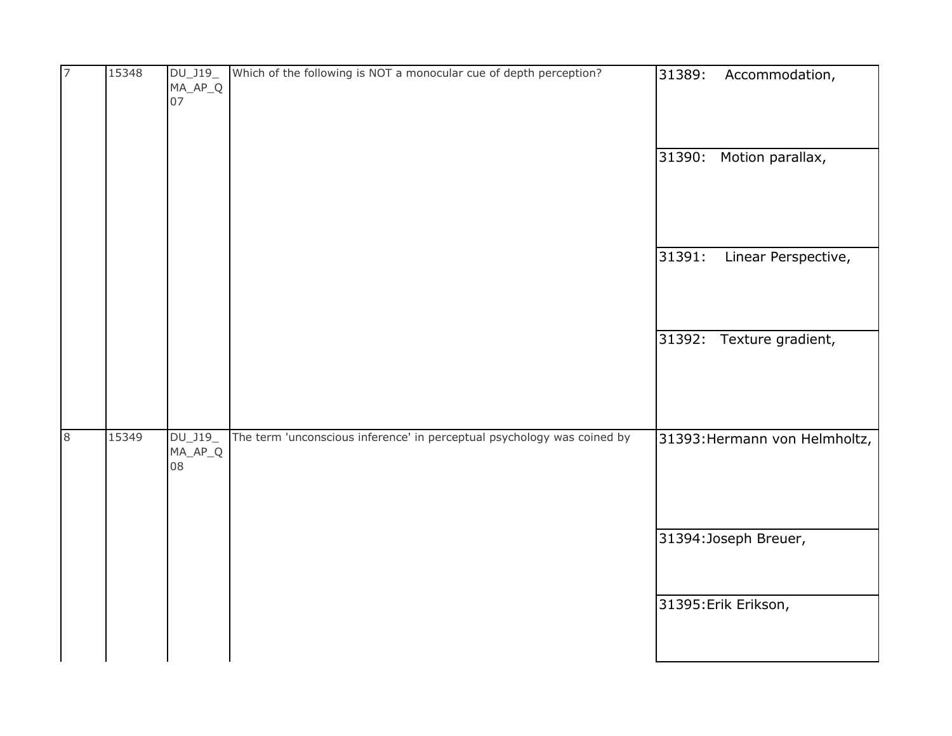| $\overline{7}$ | 15348 | DU_J19_<br>$MA_AP_Q$<br>07 | Which of the following is NOT a monocular cue of depth perception?      | 31389:<br>Accommodation,      |
|----------------|-------|----------------------------|-------------------------------------------------------------------------|-------------------------------|
|                |       |                            |                                                                         | Motion parallax,<br>31390:    |
|                |       |                            |                                                                         | 31391:<br>Linear Perspective, |
|                |       |                            |                                                                         | 31392: Texture gradient,      |
|                | 15349 |                            | The term 'unconscious inference' in perceptual psychology was coined by |                               |
| 8              |       | DU_J19_<br>$MA_AP_Q$<br>08 |                                                                         | 31393: Hermann von Helmholtz, |
|                |       |                            |                                                                         | 31394: Joseph Breuer,         |
|                |       |                            |                                                                         | 31395: Erik Erikson,          |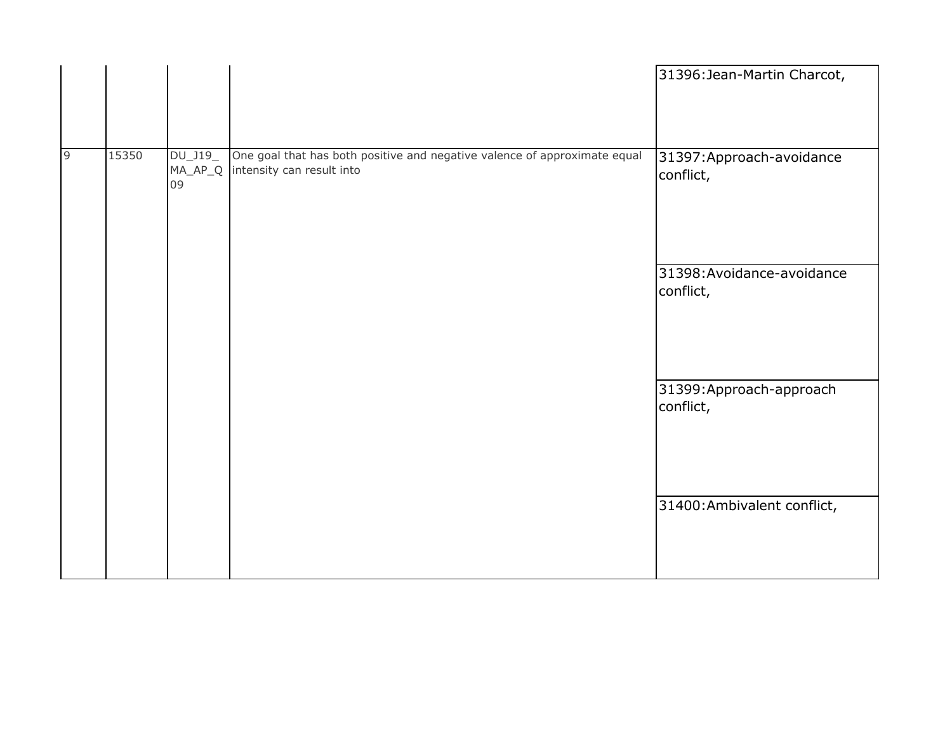|                |       |                     |                                                                                                                | 31396: Jean-Martin Charcot,             |
|----------------|-------|---------------------|----------------------------------------------------------------------------------------------------------------|-----------------------------------------|
| $\overline{9}$ | 15350 | $DU_$ J19 $_$<br>09 | One goal that has both positive and negative valence of approximate equal<br>MA_AP_Q intensity can result into | 31397: Approach-avoidance<br>conflict,  |
|                |       |                     |                                                                                                                | 31398: Avoidance-avoidance<br>conflict, |
|                |       |                     |                                                                                                                | 31399: Approach-approach<br>conflict,   |
|                |       |                     |                                                                                                                | 31400: Ambivalent conflict,             |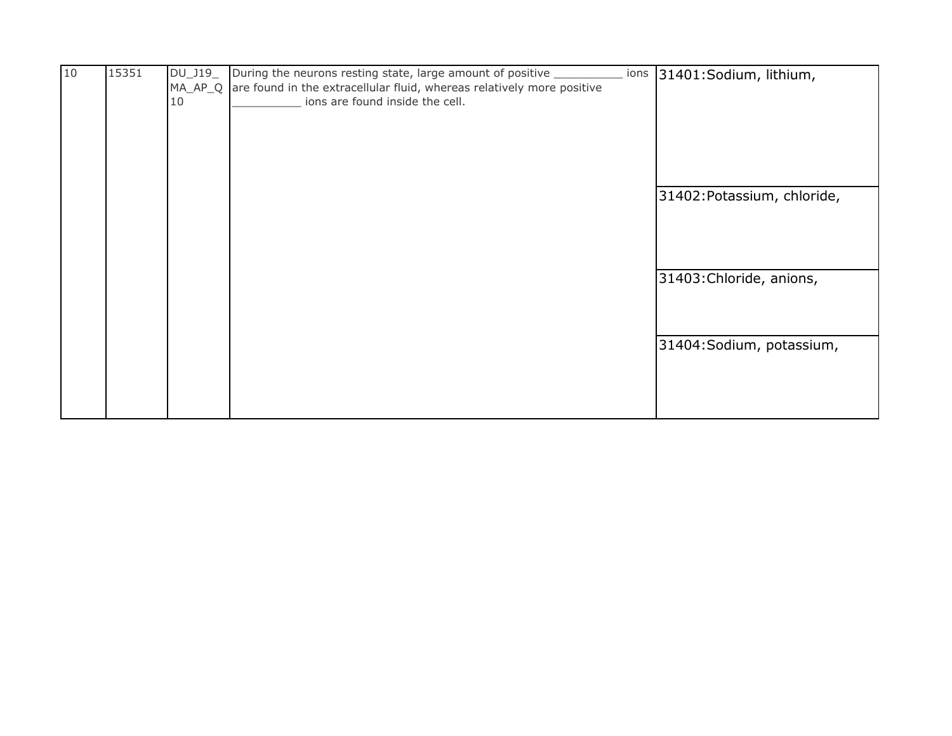| 10 | 15351 | DU_J19_ | During the neurons resting state, large amount of positive _           | ions | 31401:Sodium, lithium,      |
|----|-------|---------|------------------------------------------------------------------------|------|-----------------------------|
|    |       | MA_AP_Q | are found in the extracellular fluid, whereas relatively more positive |      |                             |
|    |       | 10      | ions are found inside the cell.                                        |      |                             |
|    |       |         |                                                                        |      |                             |
|    |       |         |                                                                        |      |                             |
|    |       |         |                                                                        |      |                             |
|    |       |         |                                                                        |      |                             |
|    |       |         |                                                                        |      |                             |
|    |       |         |                                                                        |      | 31402: Potassium, chloride, |
|    |       |         |                                                                        |      |                             |
|    |       |         |                                                                        |      |                             |
|    |       |         |                                                                        |      |                             |
|    |       |         |                                                                        |      |                             |
|    |       |         |                                                                        |      | 31403: Chloride, anions,    |
|    |       |         |                                                                        |      |                             |
|    |       |         |                                                                        |      |                             |
|    |       |         |                                                                        |      |                             |
|    |       |         |                                                                        |      | 31404: Sodium, potassium,   |
|    |       |         |                                                                        |      |                             |
|    |       |         |                                                                        |      |                             |
|    |       |         |                                                                        |      |                             |
|    |       |         |                                                                        |      |                             |
|    |       |         |                                                                        |      |                             |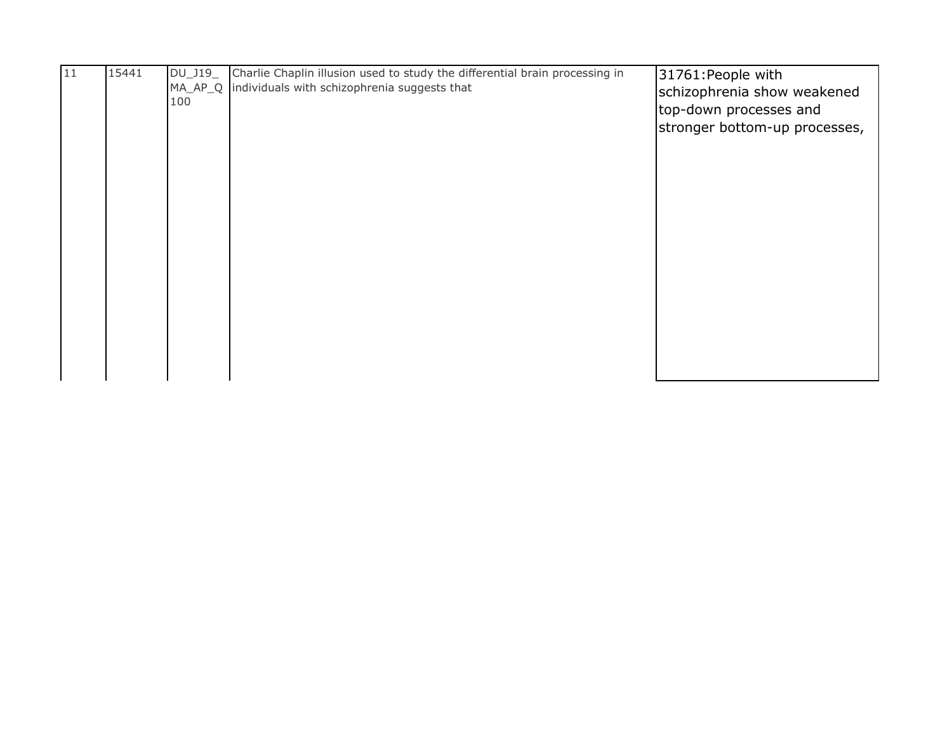| 11 | 15441 | DU_J19_ | Charlie Chaplin illusion used to study the differential brain processing in | 31761: People with            |
|----|-------|---------|-----------------------------------------------------------------------------|-------------------------------|
|    |       |         | MA_AP_Q individuals with schizophrenia suggests that                        | schizophrenia show weakened   |
|    |       | 100     |                                                                             | top-down processes and        |
|    |       |         |                                                                             | stronger bottom-up processes, |
|    |       |         |                                                                             |                               |
|    |       |         |                                                                             |                               |
|    |       |         |                                                                             |                               |
|    |       |         |                                                                             |                               |
|    |       |         |                                                                             |                               |
|    |       |         |                                                                             |                               |
|    |       |         |                                                                             |                               |
|    |       |         |                                                                             |                               |
|    |       |         |                                                                             |                               |
|    |       |         |                                                                             |                               |
|    |       |         |                                                                             |                               |
|    |       |         |                                                                             |                               |
|    |       |         |                                                                             |                               |
|    |       |         |                                                                             |                               |
|    |       |         |                                                                             |                               |
|    |       |         |                                                                             |                               |
|    |       |         |                                                                             |                               |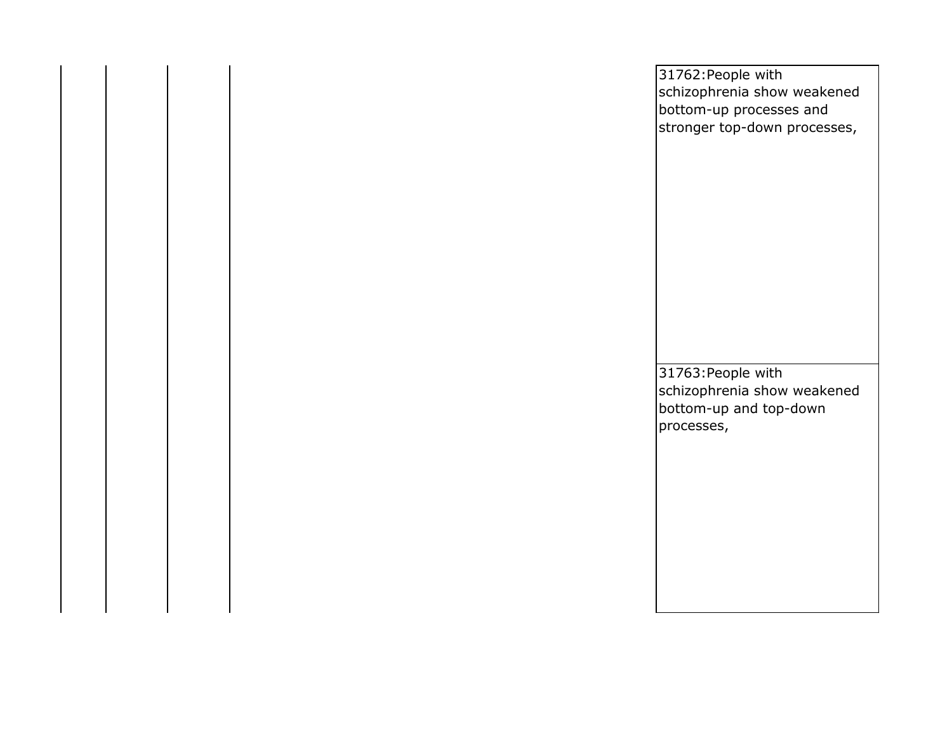|  | 31762: People with<br>schizophrenia show weakened<br>bottom-up processes and<br>stronger top-down processes, |
|--|--------------------------------------------------------------------------------------------------------------|
|  |                                                                                                              |
|  |                                                                                                              |
|  |                                                                                                              |
|  | 31763: People with<br>schizophrenia show weakened                                                            |
|  | bottom-up and top-down<br>processes,                                                                         |
|  |                                                                                                              |
|  |                                                                                                              |
|  |                                                                                                              |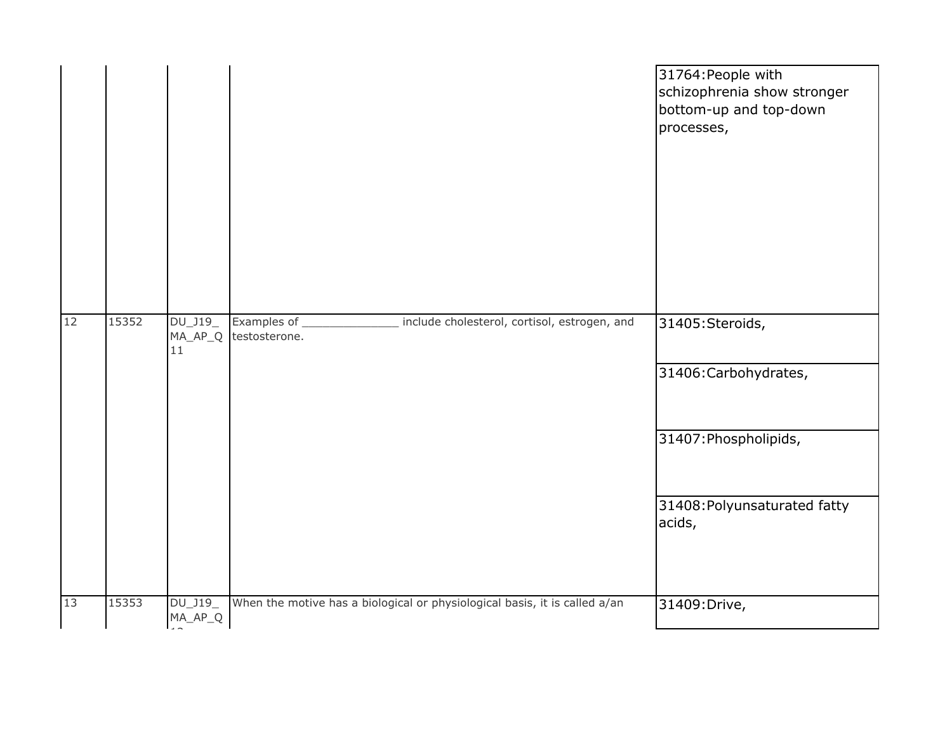|    |       |                              |                                                                                  | 31764: People with<br>schizophrenia show stronger<br>bottom-up and top-down<br>processes, |
|----|-------|------------------------------|----------------------------------------------------------------------------------|-------------------------------------------------------------------------------------------|
| 12 | 15352 | DU_J19_<br>$MA\_AP\_Q$<br>11 | Examples of _<br>_ include cholesterol, cortisol, estrogen, and<br>testosterone. | 31405:Steroids,<br>31406: Carbohydrates,                                                  |
|    |       |                              |                                                                                  | 31407: Phospholipids,                                                                     |
|    |       |                              |                                                                                  | 31408: Polyunsaturated fatty<br>acids,                                                    |
| 13 | 15353 | DU_J19_<br>MA_AP_Q           | When the motive has a biological or physiological basis, it is called a/an       | 31409: Drive,                                                                             |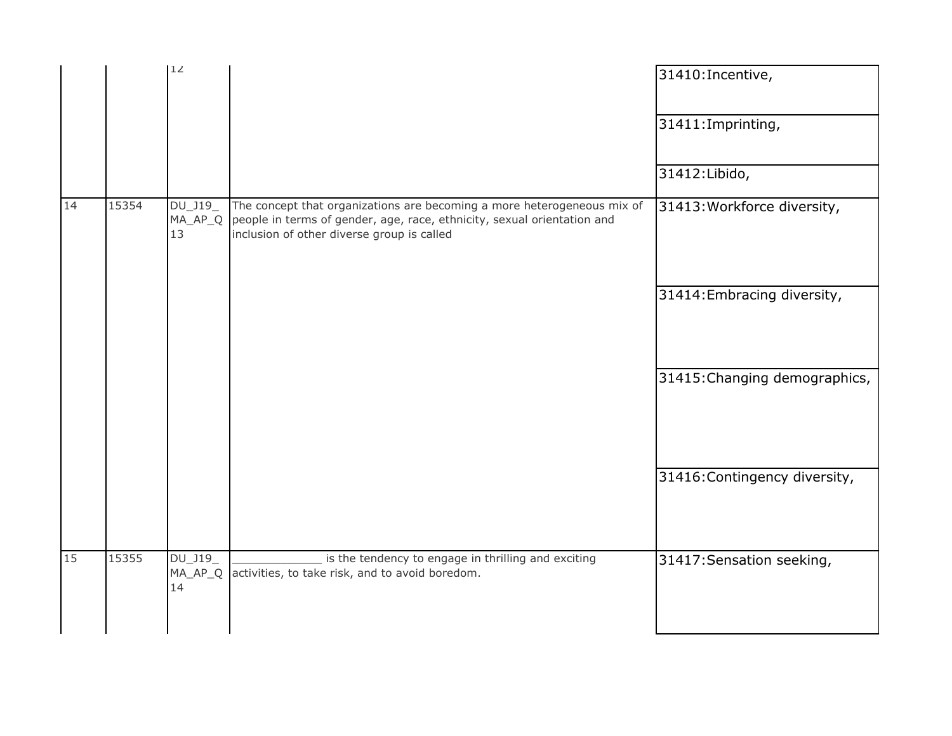|    |       | 12                       |                                                                                                                                                                                                  | 31410: Incentive,             |
|----|-------|--------------------------|--------------------------------------------------------------------------------------------------------------------------------------------------------------------------------------------------|-------------------------------|
|    |       |                          |                                                                                                                                                                                                  | 31411: Imprinting,            |
|    |       |                          |                                                                                                                                                                                                  | 31412: Libido,                |
| 14 | 15354 | DU_J19_<br>MA_AP_Q<br>13 | The concept that organizations are becoming a more heterogeneous mix of<br>people in terms of gender, age, race, ethnicity, sexual orientation and<br>inclusion of other diverse group is called | 31413: Workforce diversity,   |
|    |       |                          |                                                                                                                                                                                                  | 31414: Embracing diversity,   |
|    |       |                          |                                                                                                                                                                                                  | 31415: Changing demographics, |
|    |       |                          |                                                                                                                                                                                                  | 31416: Contingency diversity, |
| 15 | 15355 | DU_J19_<br>MA_AP_Q<br>14 | is the tendency to engage in thrilling and exciting<br>activities, to take risk, and to avoid boredom.                                                                                           | 31417: Sensation seeking,     |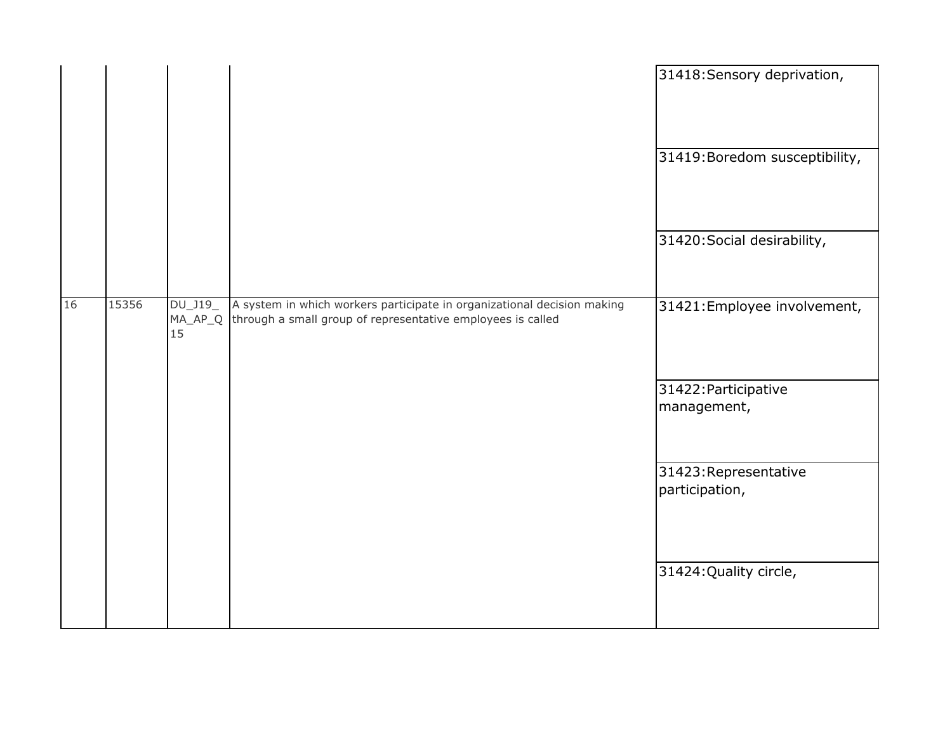| 31419: Boredom susceptibility,<br>31420: Social desirability, |
|---------------------------------------------------------------|
|                                                               |
|                                                               |
| 31421: Employee involvement,                                  |
| 31422: Participative<br>management,                           |
| 31423: Representative<br>participation,                       |
| 31424: Quality circle,                                        |
|                                                               |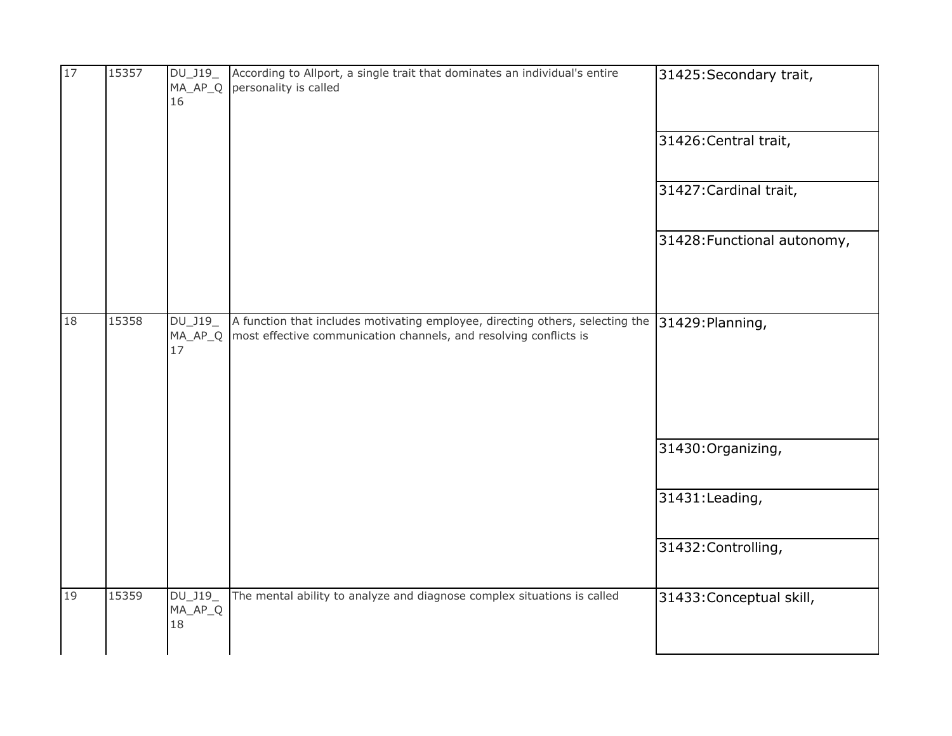| 17 | 15357 | DU_J19_<br>MA_AP_Q<br>16   | According to Allport, a single trait that dominates an individual's entire<br>personality is called                                                                 | 31425: Secondary trait,     |
|----|-------|----------------------------|---------------------------------------------------------------------------------------------------------------------------------------------------------------------|-----------------------------|
|    |       |                            |                                                                                                                                                                     | 31426: Central trait,       |
|    |       |                            |                                                                                                                                                                     | 31427: Cardinal trait,      |
|    |       |                            |                                                                                                                                                                     | 31428: Functional autonomy, |
| 18 | 15358 | DU_J19_<br>$MA_AP_Q$<br>17 | A function that includes motivating employee, directing others, selecting the 31429: Planning,<br>most effective communication channels, and resolving conflicts is |                             |
|    |       |                            |                                                                                                                                                                     | 31430: Organizing,          |
|    |       |                            |                                                                                                                                                                     | 31431:Leading,              |
|    |       |                            |                                                                                                                                                                     | 31432: Controlling,         |
| 19 | 15359 | DU_J19_<br>MA_AP_Q<br>18   | The mental ability to analyze and diagnose complex situations is called                                                                                             | 31433: Conceptual skill,    |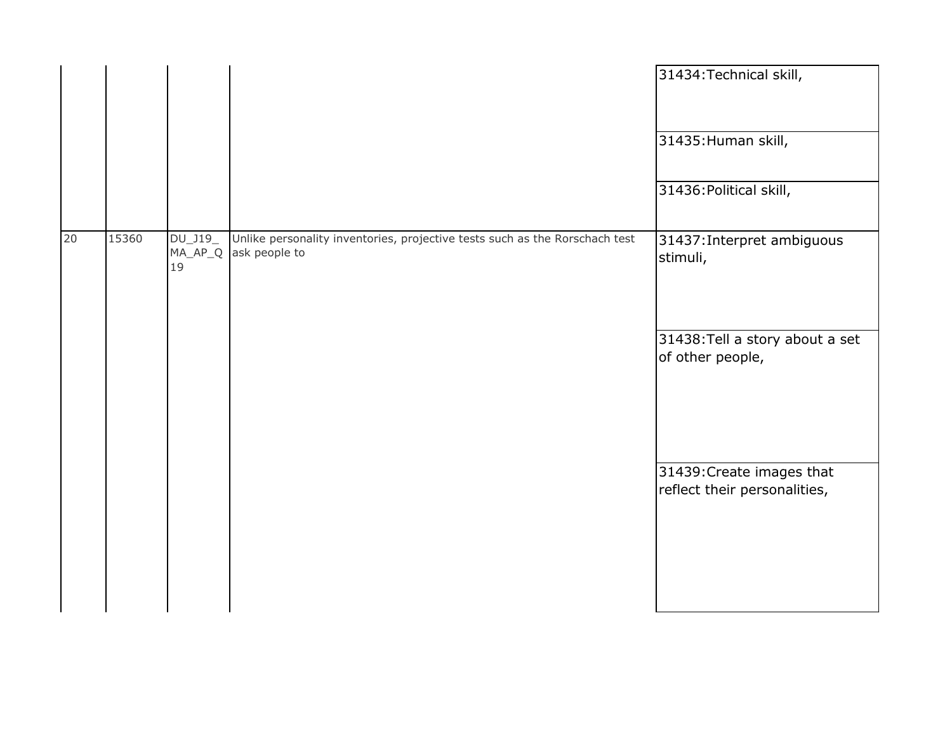|    |       |                 |                                                                                                      | 31434: Technical skill,<br>31435: Human skill,            |
|----|-------|-----------------|------------------------------------------------------------------------------------------------------|-----------------------------------------------------------|
|    |       |                 |                                                                                                      | 31436: Political skill,                                   |
| 20 | 15360 | $DU_$ J19<br>19 | Unlike personality inventories, projective tests such as the Rorschach test<br>MA_AP_Q ask people to | 31437: Interpret ambiguous<br>stimuli,                    |
|    |       |                 |                                                                                                      | 31438: Tell a story about a set<br>of other people,       |
|    |       |                 |                                                                                                      | 31439: Create images that<br>reflect their personalities, |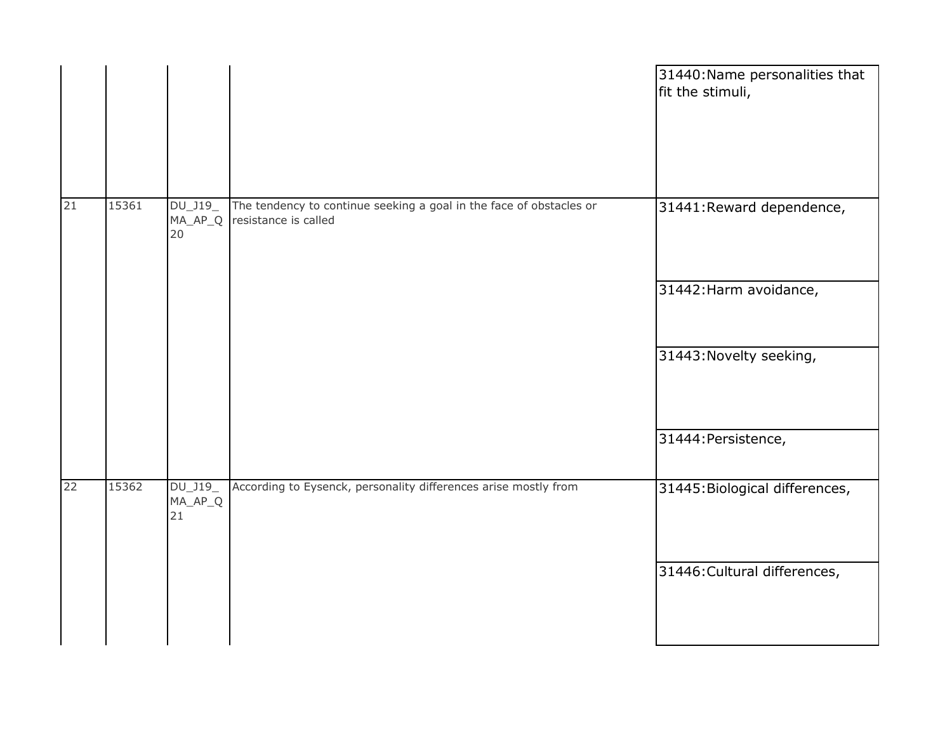|    |       |                                    |                                                                                             | 31440: Name personalities that<br>fit the stimuli,             |
|----|-------|------------------------------------|---------------------------------------------------------------------------------------------|----------------------------------------------------------------|
| 21 | 15361 | $DU_$ J19 $_$<br>$MA\_AP\_Q$<br>20 | The tendency to continue seeking a goal in the face of obstacles or<br>resistance is called | 31441: Reward dependence,<br>31442: Harm avoidance,            |
|    |       |                                    |                                                                                             | 31443: Novelty seeking,<br>31444: Persistence,                 |
| 22 | 15362 | DU_J19_<br>$MA\_AP\_Q$<br>21       | According to Eysenck, personality differences arise mostly from                             | 31445: Biological differences,<br>31446: Cultural differences, |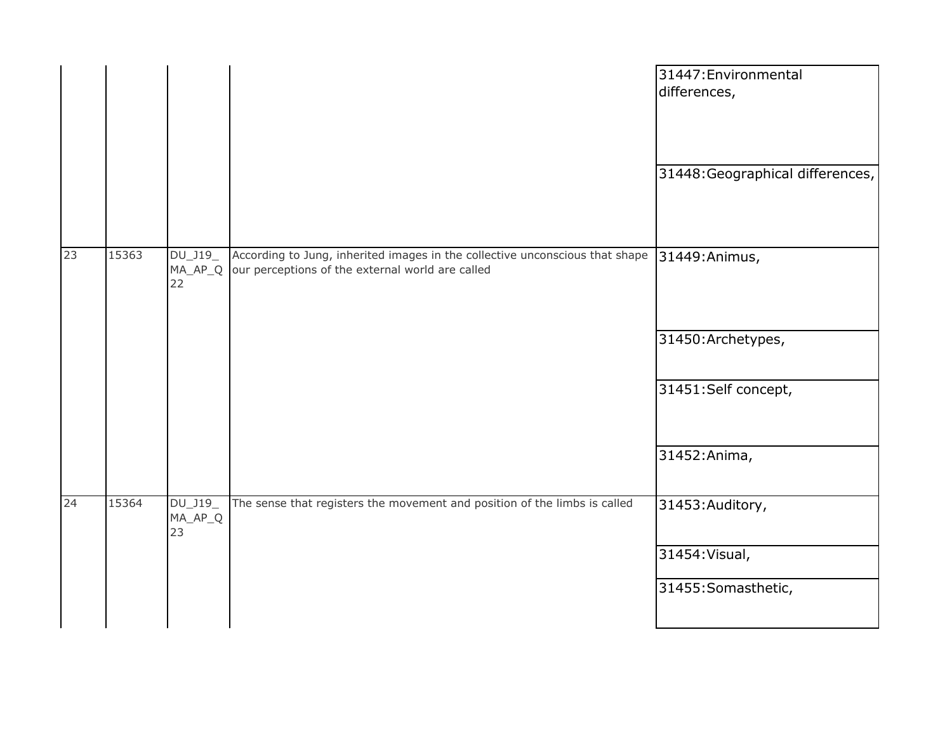|    |       |                                   |                                                                                                                                  | 31447: Environmental<br>differences, |
|----|-------|-----------------------------------|----------------------------------------------------------------------------------------------------------------------------------|--------------------------------------|
|    |       |                                   |                                                                                                                                  | 31448: Geographical differences,     |
| 23 | 15363 | $DU_$ J19 $_-$<br>$MA_AP_Q$<br>22 | According to Jung, inherited images in the collective unconscious that shape<br>our perceptions of the external world are called | 31449: Animus,                       |
|    |       |                                   |                                                                                                                                  | 31450: Archetypes,                   |
|    |       |                                   |                                                                                                                                  | 31451:Self concept,                  |
|    |       |                                   |                                                                                                                                  | 31452: Anima,                        |
| 24 | 15364 | DU_J19_<br>MA_AP_Q<br>23          | The sense that registers the movement and position of the limbs is called                                                        | 31453: Auditory,                     |
|    |       |                                   |                                                                                                                                  | 31454: Visual,                       |
|    |       |                                   |                                                                                                                                  | 31455: Somasthetic,                  |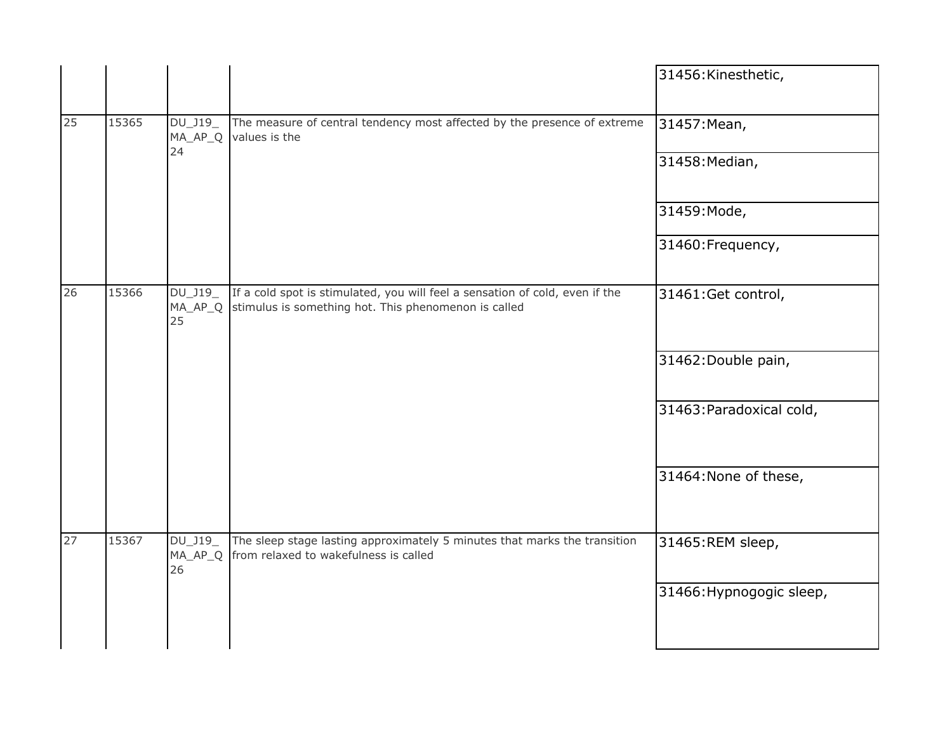|    |       |                          |                                                                                                                                      | 31456: Kinesthetic,      |
|----|-------|--------------------------|--------------------------------------------------------------------------------------------------------------------------------------|--------------------------|
| 25 | 15365 | DU_J19_<br>MA_AP_Q<br>24 | The measure of central tendency most affected by the presence of extreme<br>values is the                                            | 31457: Mean,             |
|    |       |                          |                                                                                                                                      | 31458: Median,           |
|    |       |                          |                                                                                                                                      | 31459: Mode,             |
|    |       |                          |                                                                                                                                      | 31460: Frequency,        |
| 26 | 15366 | DU_J19_<br>MA_AP_Q<br>25 | If a cold spot is stimulated, you will feel a sensation of cold, even if the<br>stimulus is something hot. This phenomenon is called | 31461:Get control,       |
|    |       |                          |                                                                                                                                      | 31462: Double pain,      |
|    |       |                          |                                                                                                                                      | 31463: Paradoxical cold, |
|    |       |                          |                                                                                                                                      | 31464: None of these,    |
| 27 | 15367 | DU_J19_<br>MA_AP_Q<br>26 | The sleep stage lasting approximately 5 minutes that marks the transition<br>from relaxed to wakefulness is called                   | 31465:REM sleep,         |
|    |       |                          |                                                                                                                                      | 31466: Hypnogogic sleep, |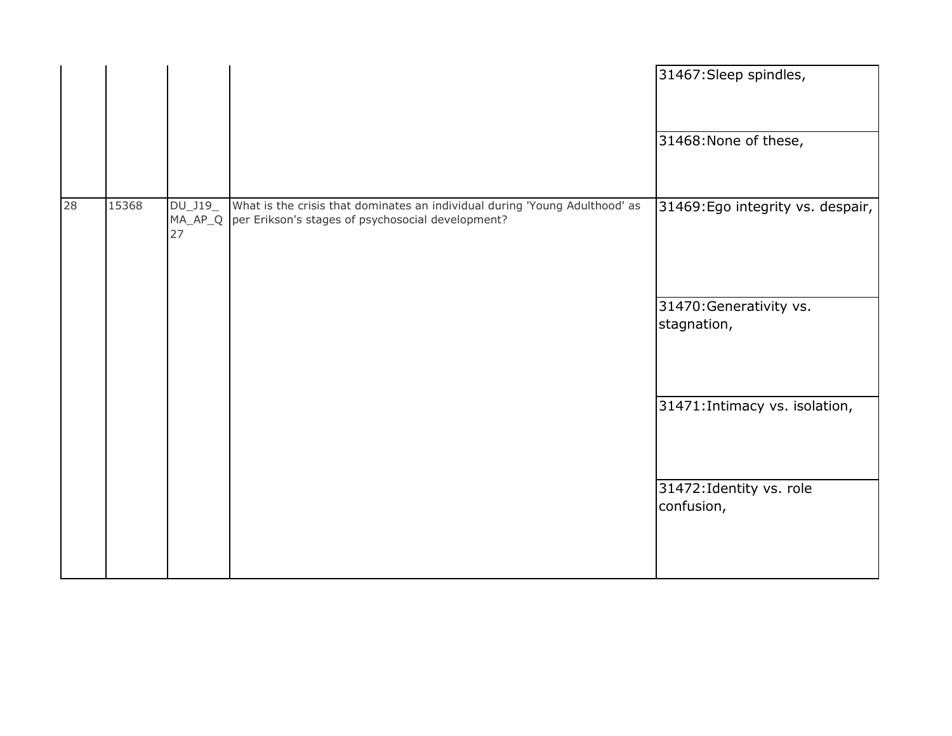|    |       |                                 |                                                                                                                                  | 31467: Sleep spindles,<br>31468: None of these, |
|----|-------|---------------------------------|----------------------------------------------------------------------------------------------------------------------------------|-------------------------------------------------|
| 28 | 15368 | $DU_$ J19_<br>$MA\_AP\_Q$<br>27 | What is the crisis that dominates an individual during 'Young Adulthood' as<br>per Erikson's stages of psychosocial development? | 31469: Ego integrity vs. despair,               |
|    |       |                                 |                                                                                                                                  | 31470: Generativity vs.<br>stagnation,          |
|    |       |                                 |                                                                                                                                  | 31471: Intimacy vs. isolation,                  |
|    |       |                                 |                                                                                                                                  | 31472: Identity vs. role<br>confusion,          |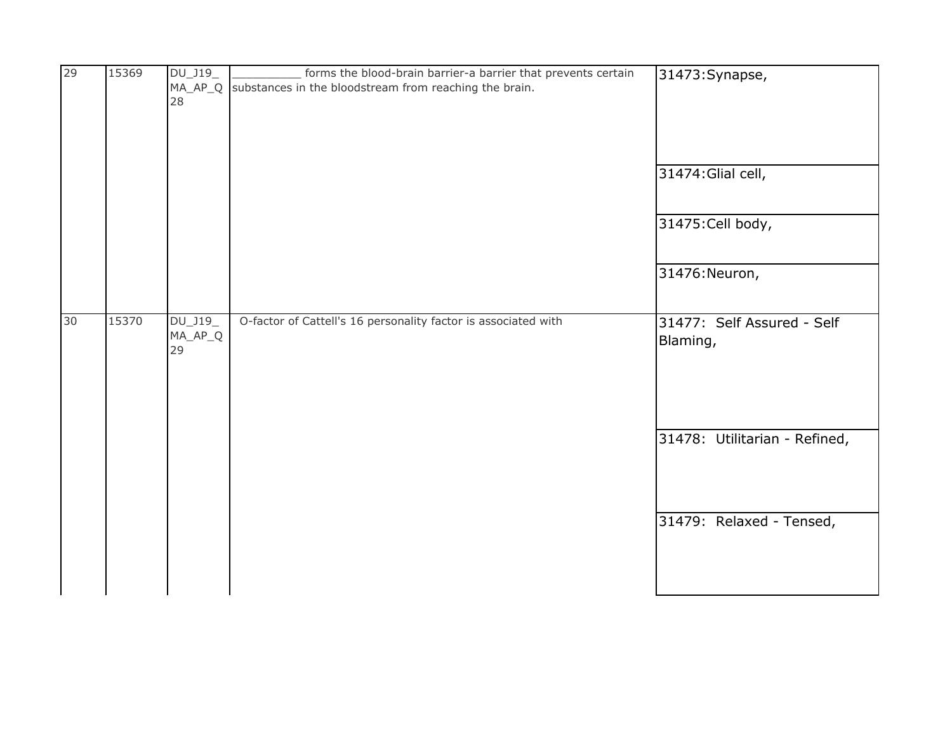| 29 | 15369 | $DU_$ J19_<br>28                 | forms the blood-brain barrier-a barrier that prevents certain<br>MA_AP_Q substances in the bloodstream from reaching the brain. | 31473: Synapse,                         |
|----|-------|----------------------------------|---------------------------------------------------------------------------------------------------------------------------------|-----------------------------------------|
|    |       |                                  |                                                                                                                                 | 31474: Glial cell,<br>31475: Cell body, |
|    |       |                                  |                                                                                                                                 | 31476: Neuron,                          |
| 30 | 15370 | $DU_$ J19 $_$<br>$MA_AP_Q$<br>29 | O-factor of Cattell's 16 personality factor is associated with                                                                  | 31477: Self Assured - Self<br>Blaming,  |
|    |       |                                  |                                                                                                                                 | 31478: Utilitarian - Refined,           |
|    |       |                                  |                                                                                                                                 | 31479: Relaxed - Tensed,                |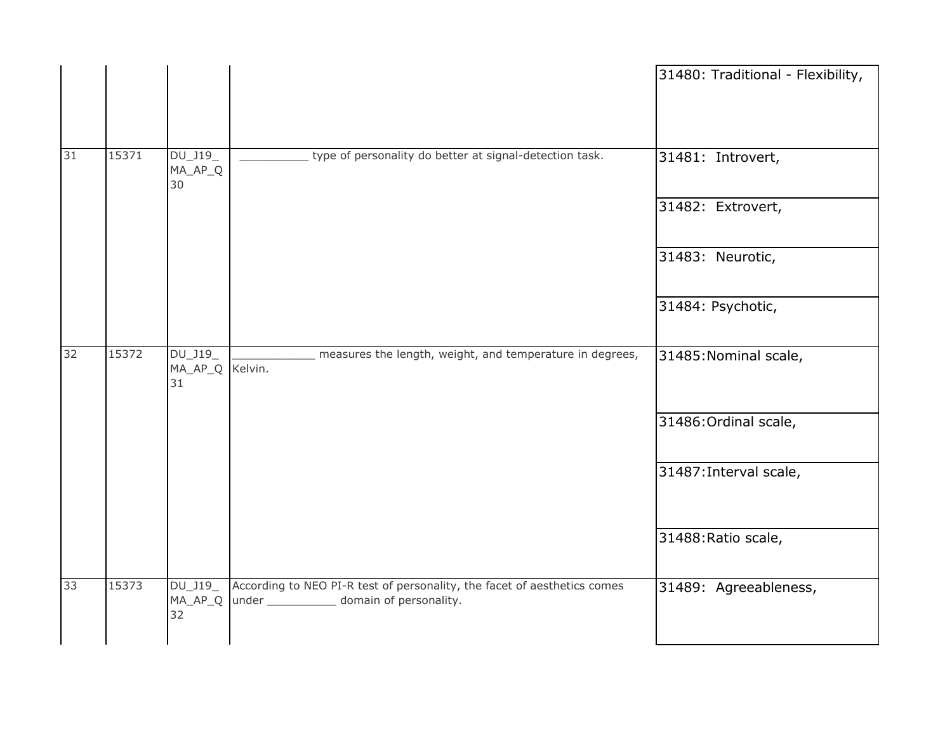|    |       |                                     |                                                                                                                                | 31480: Traditional - Flexibility, |
|----|-------|-------------------------------------|--------------------------------------------------------------------------------------------------------------------------------|-----------------------------------|
| 31 | 15371 | $DU_$ J19 $_$<br>MA_AP_Q<br>30      | type of personality do better at signal-detection task.                                                                        | 31481: Introvert,                 |
|    |       |                                     |                                                                                                                                | 31482: Extrovert,                 |
|    |       |                                     |                                                                                                                                | 31483: Neurotic,                  |
|    |       |                                     |                                                                                                                                | 31484: Psychotic,                 |
| 32 | 15372 | $DU_$ J19_<br>MA_AP_Q Kelvin.<br>31 | measures the length, weight, and temperature in degrees,                                                                       | 31485: Nominal scale,             |
|    |       |                                     |                                                                                                                                | 31486: Ordinal scale,             |
|    |       |                                     |                                                                                                                                | 31487: Interval scale,            |
|    |       |                                     |                                                                                                                                | 31488: Ratio scale,               |
| 33 | 15373 | DU_J19_<br>32                       | According to NEO PI-R test of personality, the facet of aesthetics comes<br>MA_AP_Q under _____________ domain of personality. | 31489: Agreeableness,             |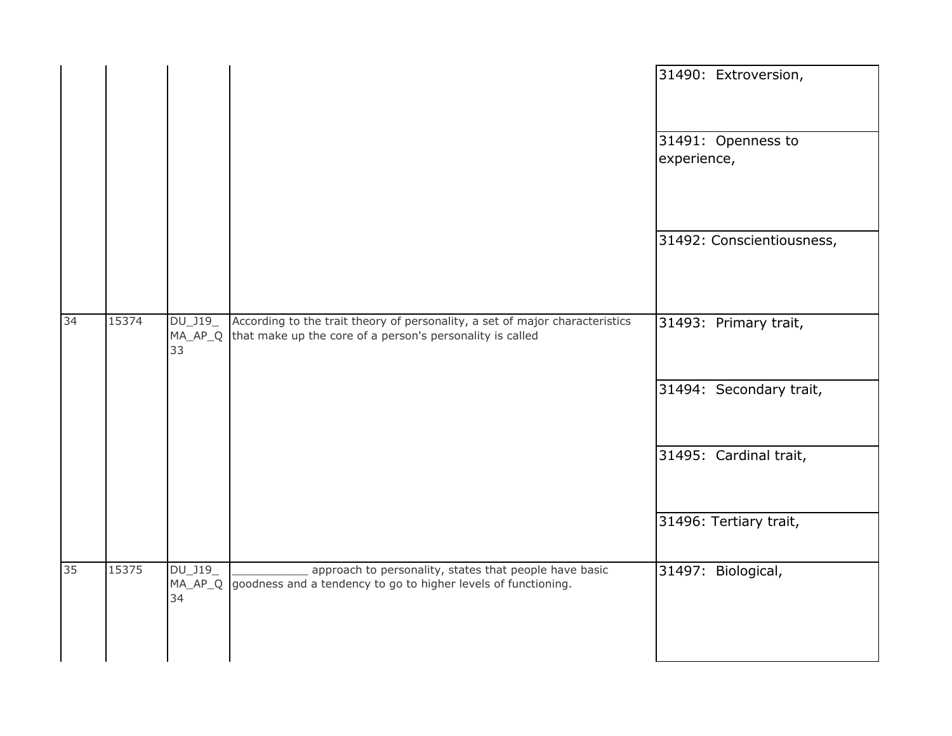|    |       |                            |                                                                                                                                           |             | 31490: Extroversion,      |
|----|-------|----------------------------|-------------------------------------------------------------------------------------------------------------------------------------------|-------------|---------------------------|
|    |       |                            |                                                                                                                                           | experience, | 31491: Openness to        |
|    |       |                            |                                                                                                                                           |             | 31492: Conscientiousness, |
| 34 | 15374 | DU_J19_<br>$MA_AP_Q$<br>33 | According to the trait theory of personality, a set of major characteristics<br>that make up the core of a person's personality is called |             | 31493: Primary trait,     |
|    |       |                            |                                                                                                                                           |             | 31494: Secondary trait,   |
|    |       |                            |                                                                                                                                           |             | 31495: Cardinal trait,    |
|    |       |                            |                                                                                                                                           |             | 31496: Tertiary trait,    |
| 35 | 15375 | DU_J19_<br>MA_AP_Q<br>34   | approach to personality, states that people have basic<br>goodness and a tendency to go to higher levels of functioning.                  |             | 31497: Biological,        |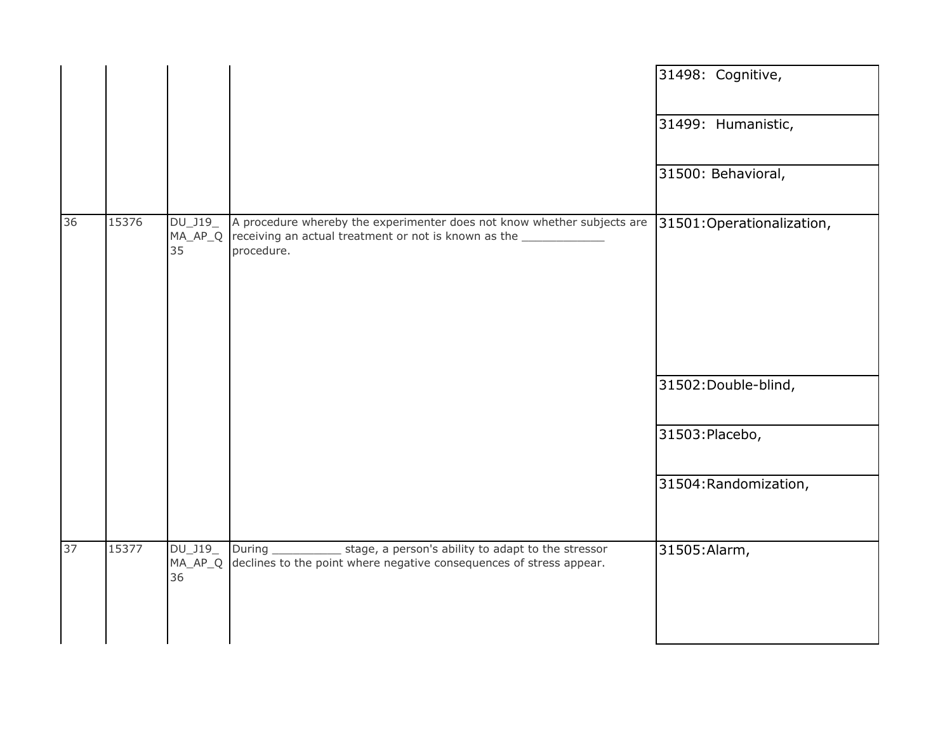|    |       |               |                                                                                                                                                                 | 31498: Cognitive,         |
|----|-------|---------------|-----------------------------------------------------------------------------------------------------------------------------------------------------------------|---------------------------|
|    |       |               |                                                                                                                                                                 | 31499: Humanistic,        |
|    |       |               |                                                                                                                                                                 | 31500: Behavioral,        |
| 36 | 15376 | 35            | DU_J19_ A procedure whereby the experimenter does not know whether subjects are<br>$MA_AP_Q$ receiving an actual treatment or not is known as the<br>procedure. | 31501:Operationalization, |
|    |       |               |                                                                                                                                                                 | 31502: Double-blind,      |
|    |       |               |                                                                                                                                                                 | 31503: Placebo,           |
|    |       |               |                                                                                                                                                                 | 31504: Randomization,     |
| 37 | 15377 | DU_J19_<br>36 | During _______________ stage, a person's ability to adapt to the stressor<br>MA_AP_Q declines to the point where negative consequences of stress appear.        | 31505: Alarm,             |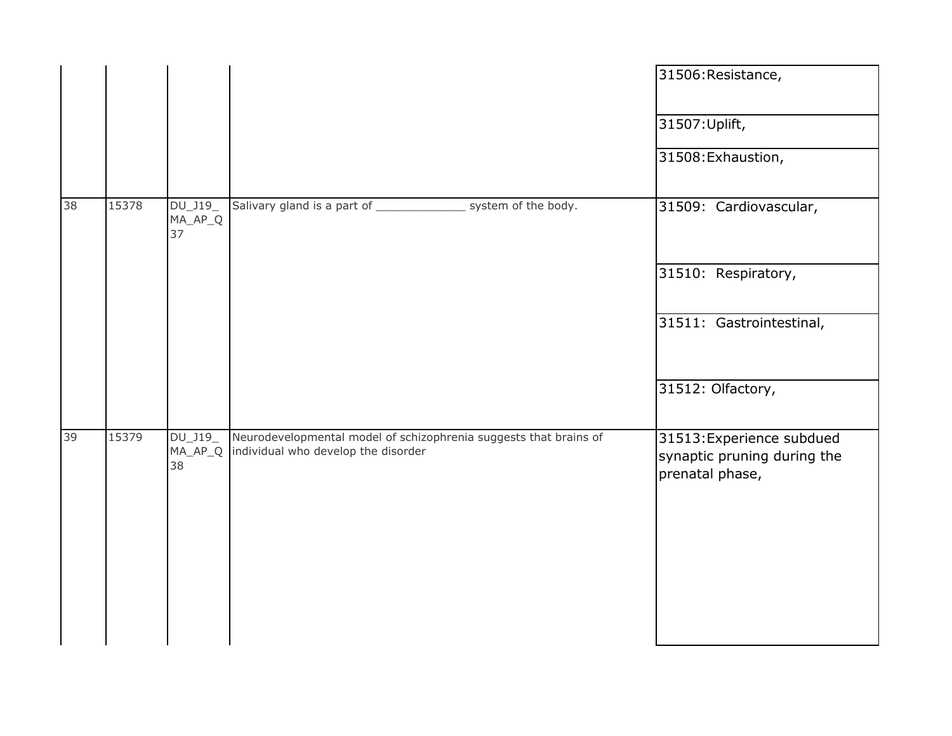|    |       |                              |                                                                                                          | 31506: Resistance,                                                          |
|----|-------|------------------------------|----------------------------------------------------------------------------------------------------------|-----------------------------------------------------------------------------|
|    |       |                              |                                                                                                          | 31507: Uplift,                                                              |
|    |       |                              |                                                                                                          | 31508: Exhaustion,                                                          |
| 38 | 15378 | DU_J19_<br>MA_AP_Q<br>37     | Salivary gland is a part of __________________ system of the body.                                       | 31509: Cardiovascular,                                                      |
|    |       |                              |                                                                                                          | 31510: Respiratory,                                                         |
|    |       |                              |                                                                                                          | 31511: Gastrointestinal,                                                    |
|    |       |                              |                                                                                                          | 31512: Olfactory,                                                           |
| 39 | 15379 | DU_J19_<br>$MA\_AP\_Q$<br>38 | Neurodevelopmental model of schizophrenia suggests that brains of<br>individual who develop the disorder | 31513: Experience subdued<br>synaptic pruning during the<br>prenatal phase, |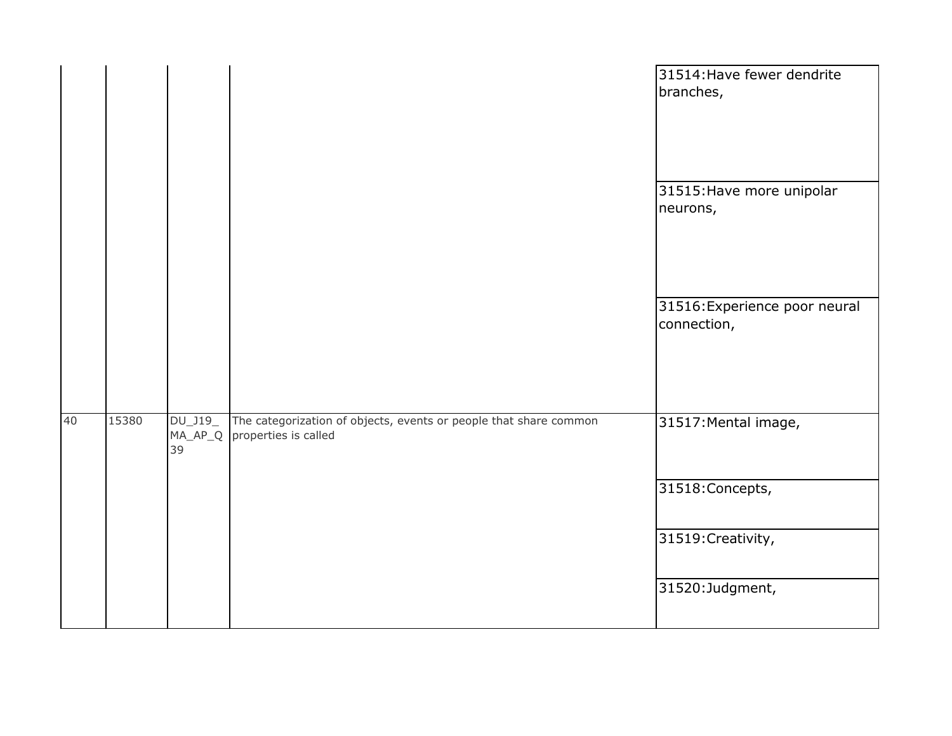|    |       |               |                                                                                                   | 31514: Have fewer dendrite<br>branches,      |
|----|-------|---------------|---------------------------------------------------------------------------------------------------|----------------------------------------------|
|    |       |               |                                                                                                   | 31515: Have more unipolar<br>neurons,        |
|    |       |               |                                                                                                   | 31516: Experience poor neural<br>connection, |
| 40 | 15380 | DU_J19_<br>39 | The categorization of objects, events or people that share common<br>MA_AP_Q properties is called | 31517: Mental image,                         |
|    |       |               |                                                                                                   | 31518: Concepts,                             |
|    |       |               |                                                                                                   | 31519: Creativity,                           |
|    |       |               |                                                                                                   | 31520:Judgment,                              |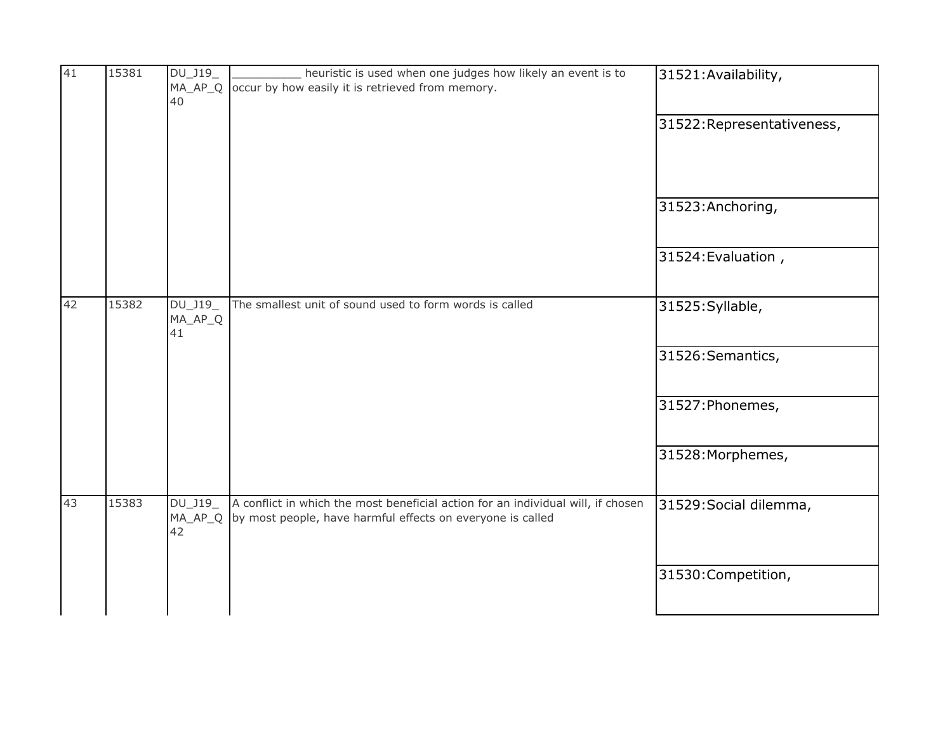| 41 | 15381 | DU_J19_<br>MA_AP_Q<br>40  | heuristic is used when one judges how likely an event is to<br>occur by how easily it is retrieved from memory.                                | 31521: Availability,       |
|----|-------|---------------------------|------------------------------------------------------------------------------------------------------------------------------------------------|----------------------------|
|    |       |                           |                                                                                                                                                | 31522: Representativeness, |
|    |       |                           |                                                                                                                                                | 31523: Anchoring,          |
|    |       |                           |                                                                                                                                                | 31524: Evaluation,         |
| 42 | 15382 | DU_J19_<br>MA_AP_Q<br>41  | The smallest unit of sound used to form words is called                                                                                        | 31525: Syllable,           |
|    |       |                           |                                                                                                                                                | 31526: Semantics,          |
|    |       |                           |                                                                                                                                                | 31527: Phonemes,           |
|    |       |                           |                                                                                                                                                | 31528: Morphemes,          |
| 43 | 15383 | DU_J19<br>$MA_AP_Q$<br>42 | A conflict in which the most beneficial action for an individual will, if chosen<br>by most people, have harmful effects on everyone is called | 31529: Social dilemma,     |
|    |       |                           |                                                                                                                                                | 31530: Competition,        |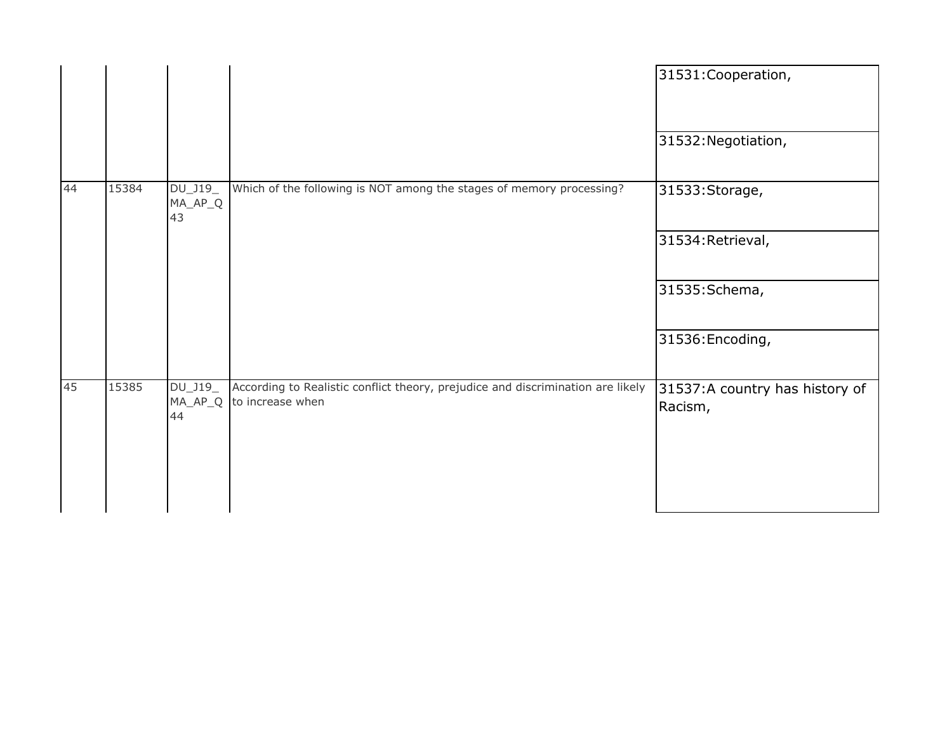|    |       |                            |                                                                                                     | 31531: Cooperation,                       |
|----|-------|----------------------------|-----------------------------------------------------------------------------------------------------|-------------------------------------------|
|    |       |                            |                                                                                                     | 31532: Negotiation,                       |
| 44 | 15384 | DU_J19_<br>$MA_AP_Q$<br>43 | Which of the following is NOT among the stages of memory processing?                                | 31533: Storage,                           |
|    |       |                            |                                                                                                     | 31534: Retrieval,                         |
|    |       |                            |                                                                                                     | 31535: Schema,                            |
|    |       |                            |                                                                                                     | 31536: Encoding,                          |
| 45 | 15385 | DU_J19_<br>MA_AP_Q<br>44   | According to Realistic conflict theory, prejudice and discrimination are likely<br>to increase when | 31537:A country has history of<br>Racism, |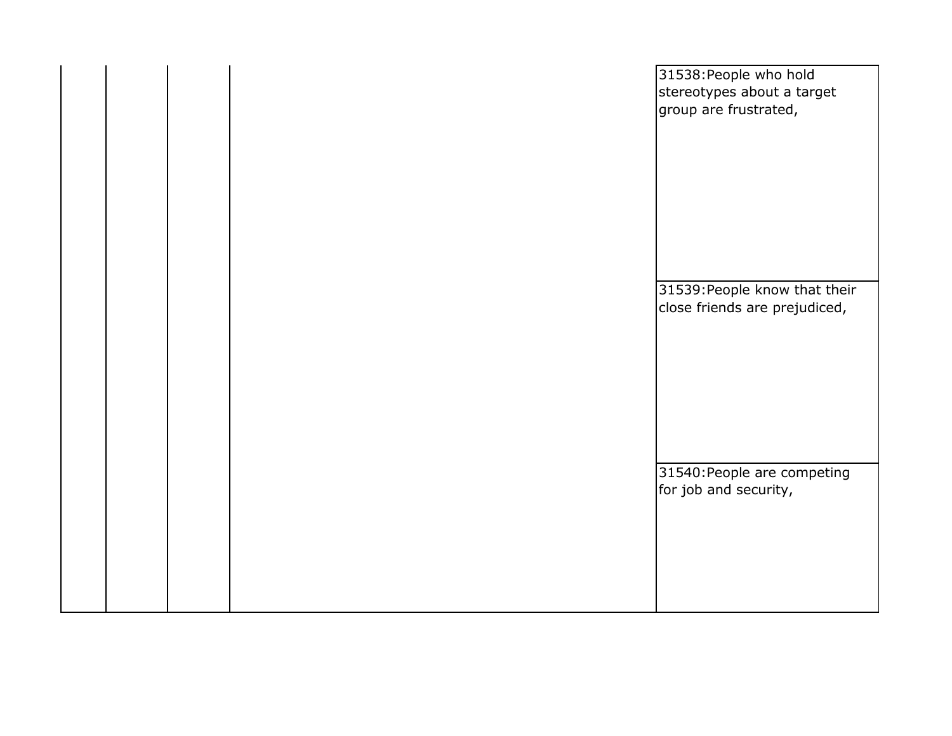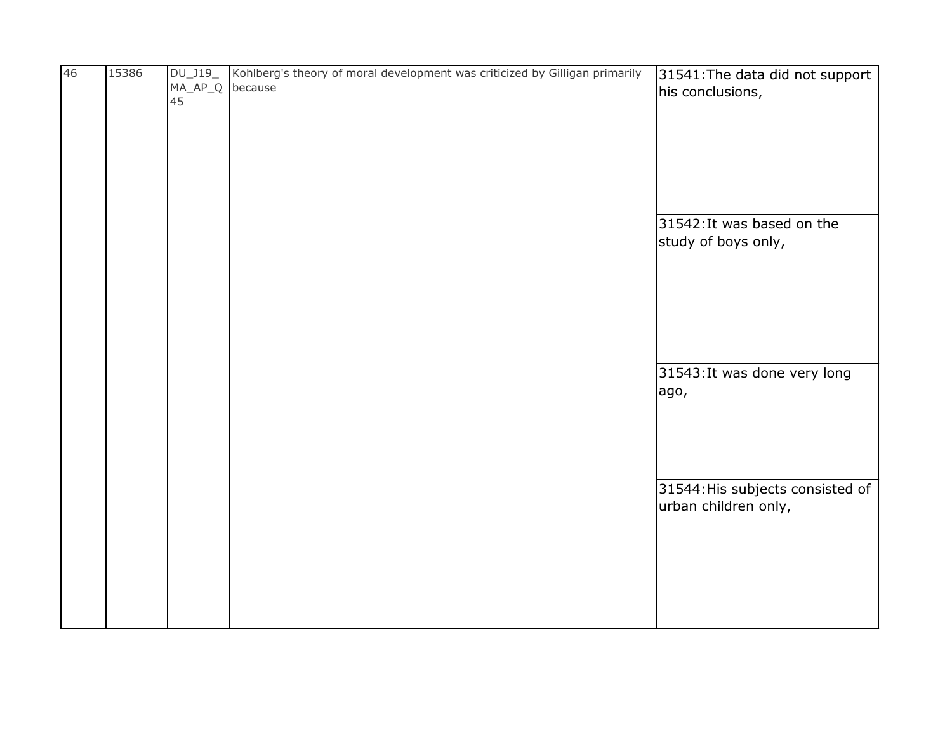| 46 | 15386 | $DU_$ J19_   | Kohlberg's theory of moral development was criticized by Gilligan primarily | 31541: The data did not support  |
|----|-------|--------------|-----------------------------------------------------------------------------|----------------------------------|
|    |       | $MA_A$ $P_Q$ | because                                                                     | his conclusions,                 |
|    |       | 45           |                                                                             |                                  |
|    |       |              |                                                                             |                                  |
|    |       |              |                                                                             |                                  |
|    |       |              |                                                                             |                                  |
|    |       |              |                                                                             |                                  |
|    |       |              |                                                                             |                                  |
|    |       |              |                                                                             |                                  |
|    |       |              |                                                                             | 31542: It was based on the       |
|    |       |              |                                                                             | study of boys only,              |
|    |       |              |                                                                             |                                  |
|    |       |              |                                                                             |                                  |
|    |       |              |                                                                             |                                  |
|    |       |              |                                                                             |                                  |
|    |       |              |                                                                             |                                  |
|    |       |              |                                                                             |                                  |
|    |       |              |                                                                             |                                  |
|    |       |              |                                                                             | 31543: It was done very long     |
|    |       |              |                                                                             | ago,                             |
|    |       |              |                                                                             |                                  |
|    |       |              |                                                                             |                                  |
|    |       |              |                                                                             |                                  |
|    |       |              |                                                                             |                                  |
|    |       |              |                                                                             | 31544: His subjects consisted of |
|    |       |              |                                                                             | urban children only,             |
|    |       |              |                                                                             |                                  |
|    |       |              |                                                                             |                                  |
|    |       |              |                                                                             |                                  |
|    |       |              |                                                                             |                                  |
|    |       |              |                                                                             |                                  |
|    |       |              |                                                                             |                                  |
|    |       |              |                                                                             |                                  |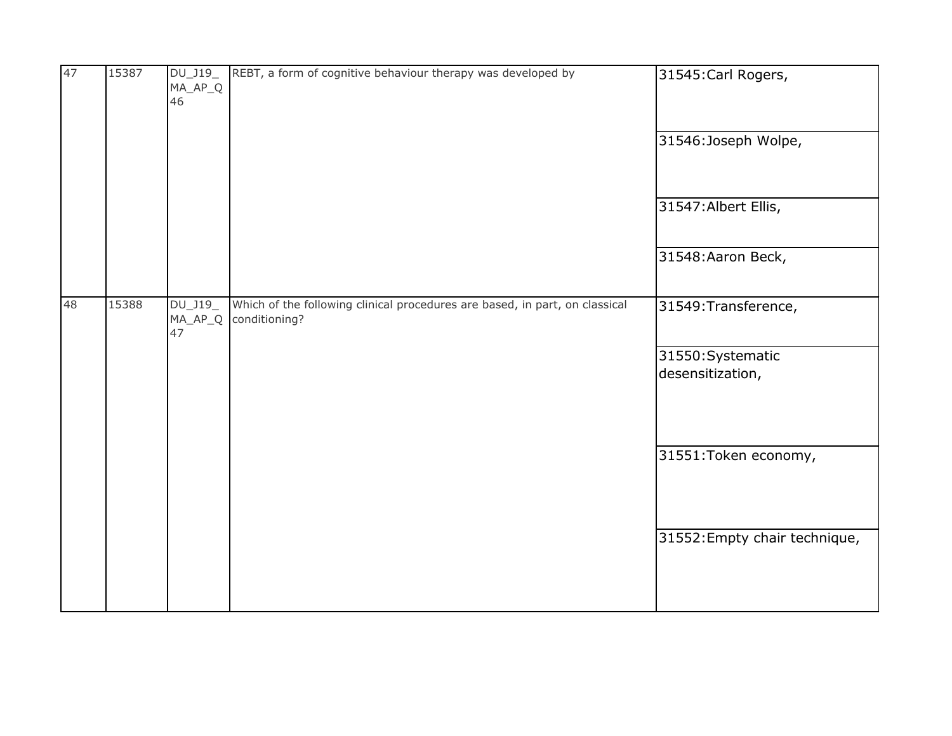| 47 | 15387 | DU_J19_<br>$MA\_AP\_Q$<br>46 | REBT, a form of cognitive behaviour therapy was developed by                                 | 31545: Carl Rogers,                   |
|----|-------|------------------------------|----------------------------------------------------------------------------------------------|---------------------------------------|
|    |       |                              |                                                                                              | 31546:Joseph Wolpe,                   |
|    |       |                              |                                                                                              | 31547: Albert Ellis,                  |
|    |       |                              |                                                                                              | 31548: Aaron Beck,                    |
| 48 | 15388 | DU_J19_<br>$MA\_AP\_Q$<br>47 | Which of the following clinical procedures are based, in part, on classical<br>conditioning? | 31549: Transference,                  |
|    |       |                              |                                                                                              | 31550: Systematic<br>desensitization, |
|    |       |                              |                                                                                              | 31551: Token economy,                 |
|    |       |                              |                                                                                              | 31552: Empty chair technique,         |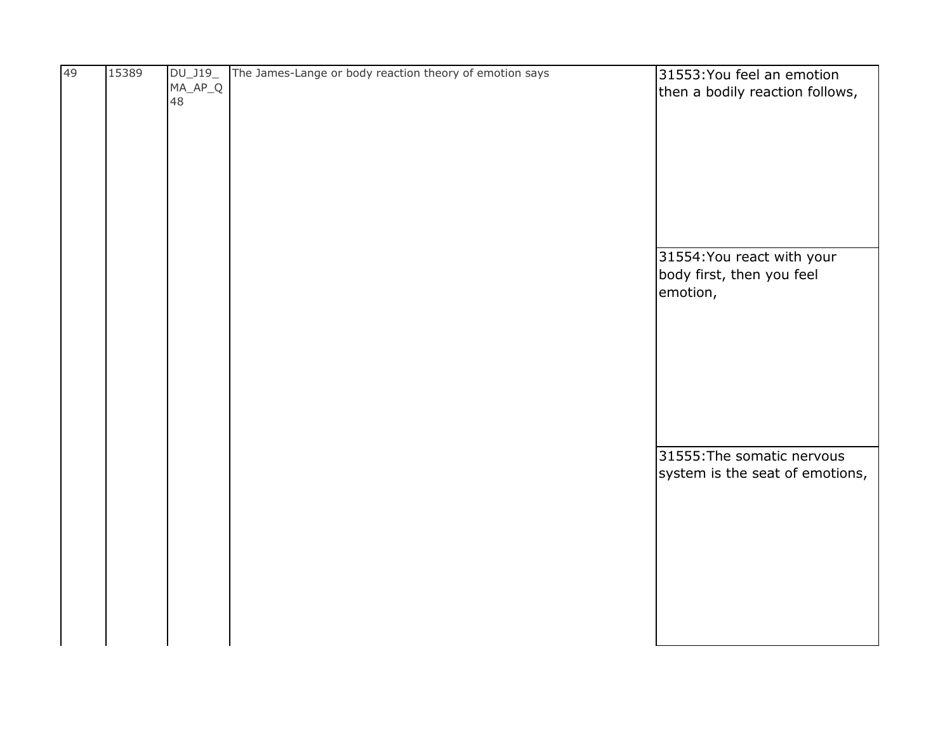| 49 | 15389 | DU_J19_   | The James-Lange or body reaction theory of emotion says | 31553: You feel an emotion      |
|----|-------|-----------|---------------------------------------------------------|---------------------------------|
|    |       | $MA_AP_Q$ |                                                         | then a bodily reaction follows, |
|    |       | 48        |                                                         |                                 |
|    |       |           |                                                         |                                 |
|    |       |           |                                                         |                                 |
|    |       |           |                                                         |                                 |
|    |       |           |                                                         |                                 |
|    |       |           |                                                         |                                 |
|    |       |           |                                                         |                                 |
|    |       |           |                                                         |                                 |
|    |       |           |                                                         |                                 |
|    |       |           |                                                         |                                 |
|    |       |           |                                                         |                                 |
|    |       |           |                                                         | 31554: You react with your      |
|    |       |           |                                                         | body first, then you feel       |
|    |       |           |                                                         | emotion,                        |
|    |       |           |                                                         |                                 |
|    |       |           |                                                         |                                 |
|    |       |           |                                                         |                                 |
|    |       |           |                                                         |                                 |
|    |       |           |                                                         |                                 |
|    |       |           |                                                         |                                 |
|    |       |           |                                                         |                                 |
|    |       |           |                                                         |                                 |
|    |       |           |                                                         |                                 |
|    |       |           |                                                         |                                 |
|    |       |           |                                                         | 31555: The somatic nervous      |
|    |       |           |                                                         | system is the seat of emotions, |
|    |       |           |                                                         |                                 |
|    |       |           |                                                         |                                 |
|    |       |           |                                                         |                                 |
|    |       |           |                                                         |                                 |
|    |       |           |                                                         |                                 |
|    |       |           |                                                         |                                 |
|    |       |           |                                                         |                                 |
|    |       |           |                                                         |                                 |
|    |       |           |                                                         |                                 |
|    |       |           |                                                         |                                 |
|    |       |           |                                                         |                                 |
|    |       |           |                                                         |                                 |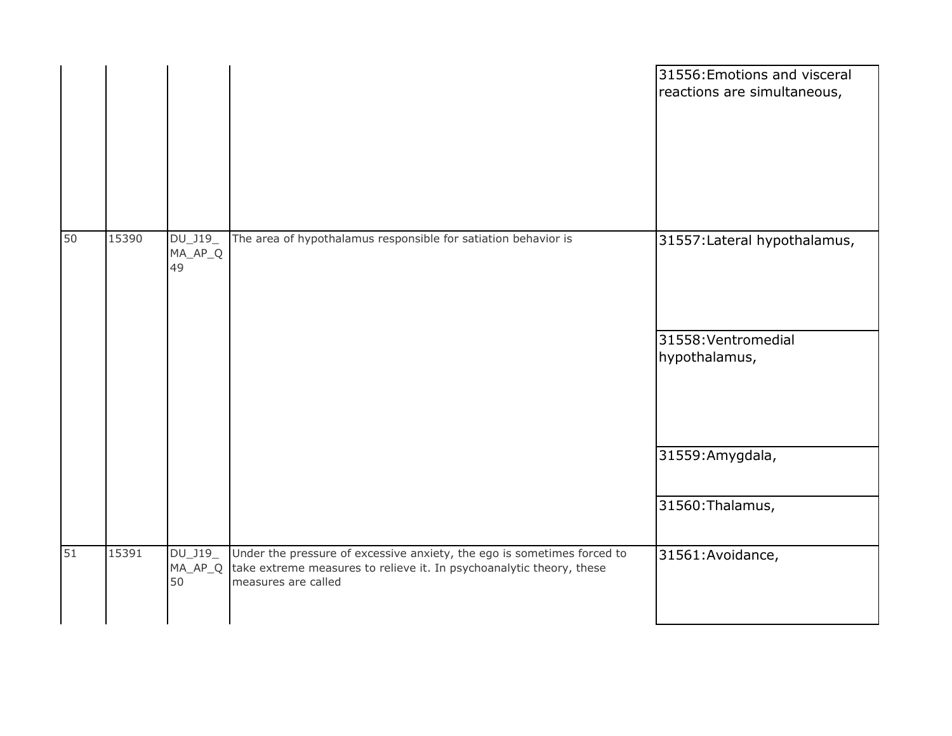|    |       |                              |                                                                                                                                                                        | 31556: Emotions and visceral<br>reactions are simultaneous,          |
|----|-------|------------------------------|------------------------------------------------------------------------------------------------------------------------------------------------------------------------|----------------------------------------------------------------------|
| 50 | 15390 | DU_J19_<br>$MA\_AP\_Q$<br>49 | The area of hypothalamus responsible for satiation behavior is                                                                                                         | 31557: Lateral hypothalamus,<br>31558: Ventromedial<br>hypothalamus, |
|    |       |                              |                                                                                                                                                                        | 31559: Amygdala,<br>31560: Thalamus,                                 |
| 51 | 15391 | DU_J19_<br>$MA_AP_Q$<br>50   | Under the pressure of excessive anxiety, the ego is sometimes forced to<br>take extreme measures to relieve it. In psychoanalytic theory, these<br>measures are called | 31561: Avoidance,                                                    |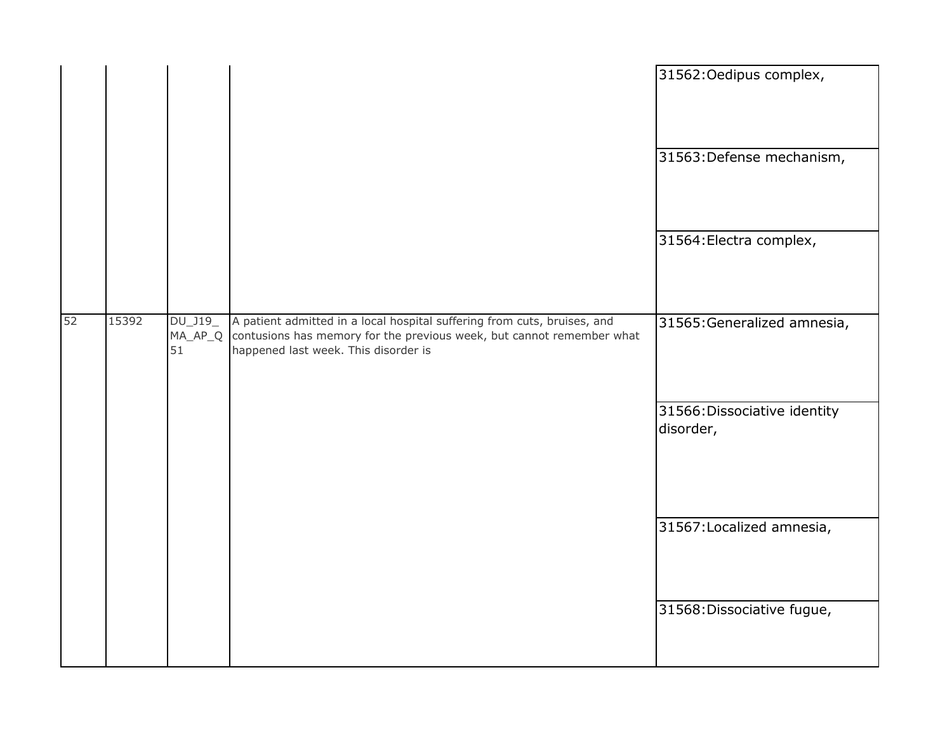|    |       |                     |                                                                                                                                                                                                   | 31562: Oedipus complex,                   |
|----|-------|---------------------|---------------------------------------------------------------------------------------------------------------------------------------------------------------------------------------------------|-------------------------------------------|
|    |       |                     |                                                                                                                                                                                                   | 31563: Defense mechanism,                 |
|    |       |                     |                                                                                                                                                                                                   | 31564: Electra complex,                   |
| 52 | 15392 | $DU_$ J19 $_$<br>51 | A patient admitted in a local hospital suffering from cuts, bruises, and<br>MA_AP_Q contusions has memory for the previous week, but cannot remember what<br>happened last week. This disorder is | 31565: Generalized amnesia,               |
|    |       |                     |                                                                                                                                                                                                   | 31566: Dissociative identity<br>disorder, |
|    |       |                     |                                                                                                                                                                                                   | 31567: Localized amnesia,                 |
|    |       |                     |                                                                                                                                                                                                   | 31568: Dissociative fugue,                |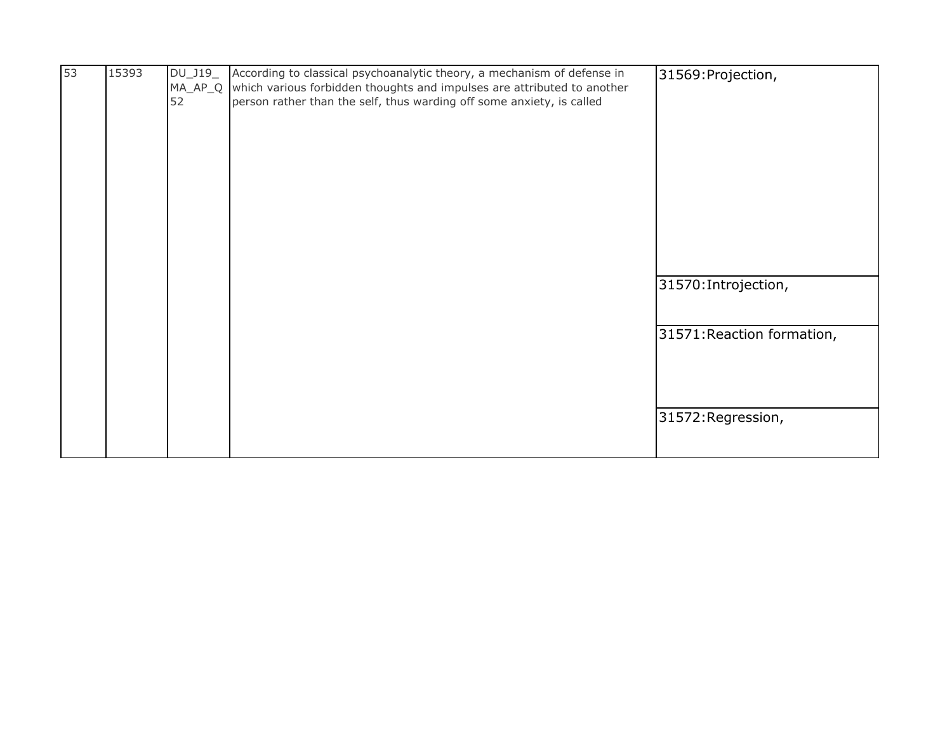| 53 | 15393 | DU_J19_<br>52 | According to classical psychoanalytic theory, a mechanism of defense in<br>MA_AP_Q which various forbidden thoughts and impulses are attributed to another<br>person rather than the self, thus warding off some anxiety, is called | 31569: Projection,         |
|----|-------|---------------|-------------------------------------------------------------------------------------------------------------------------------------------------------------------------------------------------------------------------------------|----------------------------|
|    |       |               |                                                                                                                                                                                                                                     | 31570: Introjection,       |
|    |       |               |                                                                                                                                                                                                                                     | 31571: Reaction formation, |
|    |       |               |                                                                                                                                                                                                                                     | 31572: Regression,         |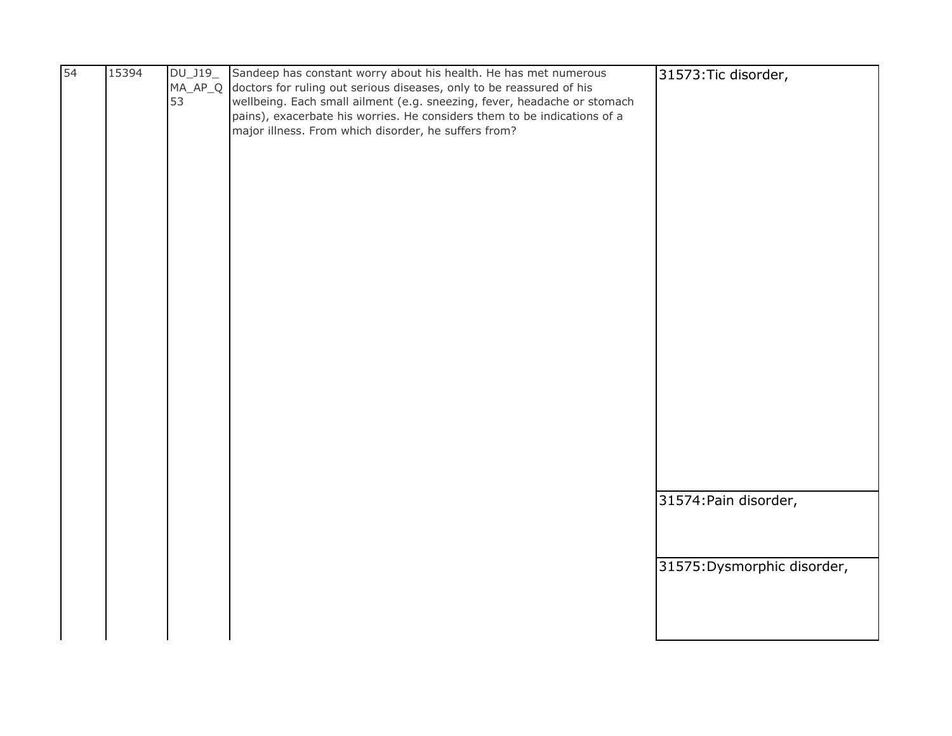| 54 | 15394 | DU_J19_ | Sandeep has constant worry about his health. He has met numerous             | 31573: Tic disorder,        |
|----|-------|---------|------------------------------------------------------------------------------|-----------------------------|
|    |       |         | MA_AP_Q doctors for ruling out serious diseases, only to be reassured of his |                             |
|    |       | 53      | wellbeing. Each small ailment (e.g. sneezing, fever, headache or stomach     |                             |
|    |       |         | pains), exacerbate his worries. He considers them to be indications of a     |                             |
|    |       |         | major illness. From which disorder, he suffers from?                         |                             |
|    |       |         |                                                                              |                             |
|    |       |         |                                                                              |                             |
|    |       |         |                                                                              |                             |
|    |       |         |                                                                              |                             |
|    |       |         |                                                                              |                             |
|    |       |         |                                                                              |                             |
|    |       |         |                                                                              |                             |
|    |       |         |                                                                              |                             |
|    |       |         |                                                                              |                             |
|    |       |         |                                                                              |                             |
|    |       |         |                                                                              |                             |
|    |       |         |                                                                              |                             |
|    |       |         |                                                                              |                             |
|    |       |         |                                                                              |                             |
|    |       |         |                                                                              |                             |
|    |       |         |                                                                              |                             |
|    |       |         |                                                                              |                             |
|    |       |         |                                                                              |                             |
|    |       |         |                                                                              |                             |
|    |       |         |                                                                              |                             |
|    |       |         |                                                                              |                             |
|    |       |         |                                                                              |                             |
|    |       |         |                                                                              |                             |
|    |       |         |                                                                              |                             |
|    |       |         |                                                                              |                             |
|    |       |         |                                                                              | 31574: Pain disorder,       |
|    |       |         |                                                                              |                             |
|    |       |         |                                                                              |                             |
|    |       |         |                                                                              |                             |
|    |       |         |                                                                              | 31575: Dysmorphic disorder, |
|    |       |         |                                                                              |                             |
|    |       |         |                                                                              |                             |
|    |       |         |                                                                              |                             |
|    |       |         |                                                                              |                             |
|    |       |         |                                                                              |                             |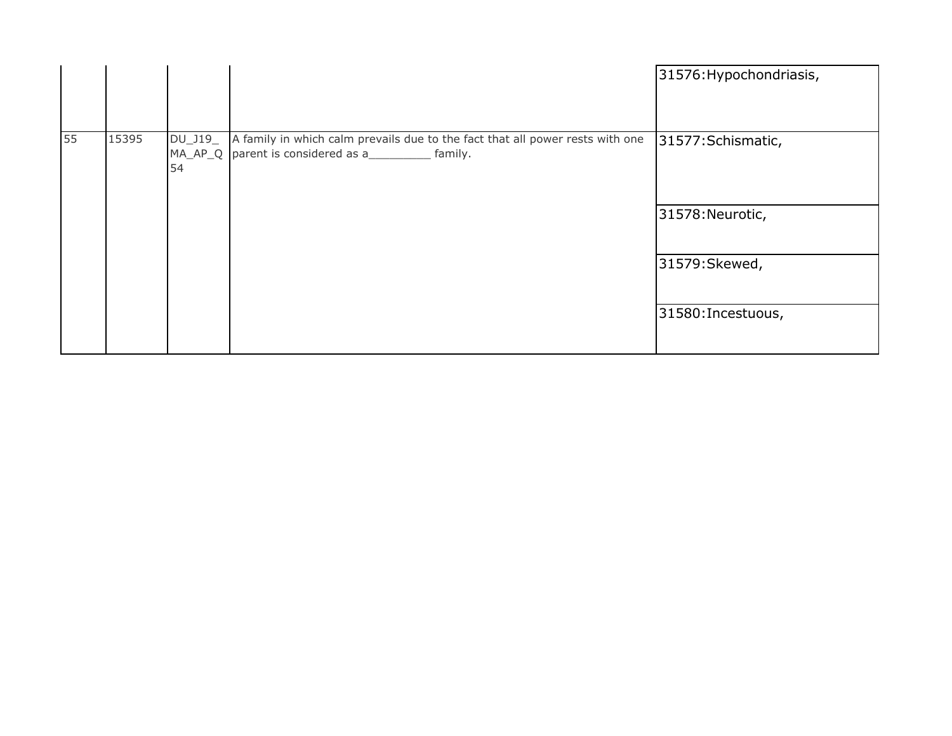|    |       |               |                                                                                                                                       | 31576: Hypochondriasis, |
|----|-------|---------------|---------------------------------------------------------------------------------------------------------------------------------------|-------------------------|
| 55 | 15395 | DU_J19_<br>54 | A family in which calm prevails due to the fact that all power rests with one<br>MA_AP_Q parent is considered as a___________ family. | 31577: Schismatic,      |
|    |       |               |                                                                                                                                       | 31578: Neurotic,        |
|    |       |               |                                                                                                                                       | 31579: Skewed,          |
|    |       |               |                                                                                                                                       | 31580: Incestuous,      |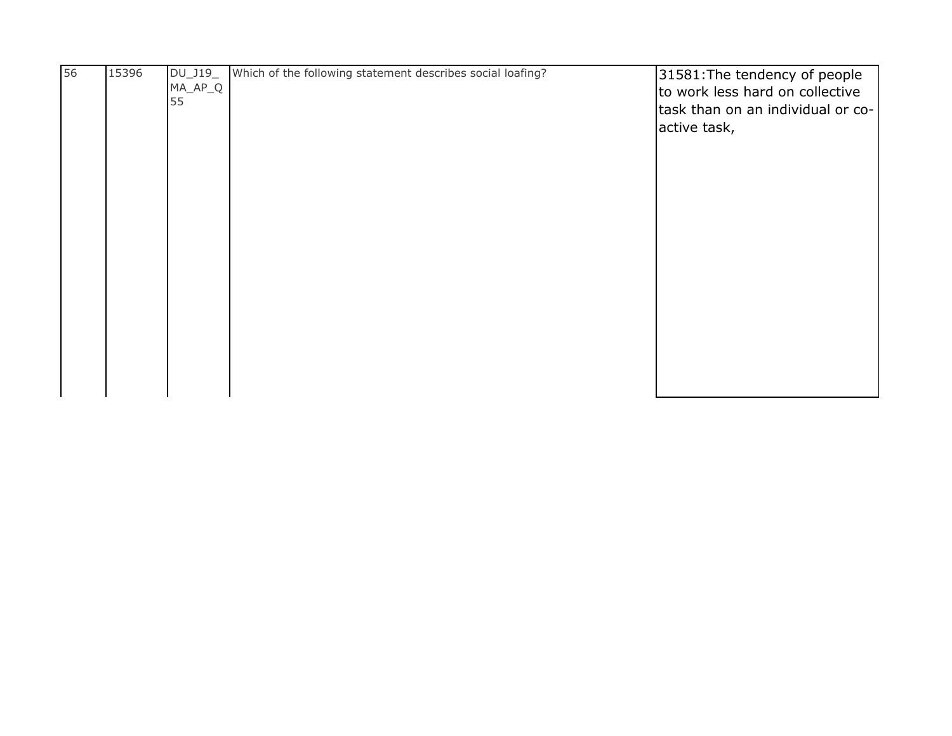| 56 | 15396 | DU_J19_<br>$MA_AP_Q$<br>55 | Which of the following statement describes social loafing? | 31581: The tendency of people<br>to work less hard on collective |
|----|-------|----------------------------|------------------------------------------------------------|------------------------------------------------------------------|
|    |       |                            |                                                            | task than on an individual or co-<br>active task,                |
|    |       |                            |                                                            |                                                                  |
|    |       |                            |                                                            |                                                                  |
|    |       |                            |                                                            |                                                                  |
|    |       |                            |                                                            |                                                                  |
|    |       |                            |                                                            |                                                                  |
|    |       |                            |                                                            |                                                                  |
|    |       |                            |                                                            |                                                                  |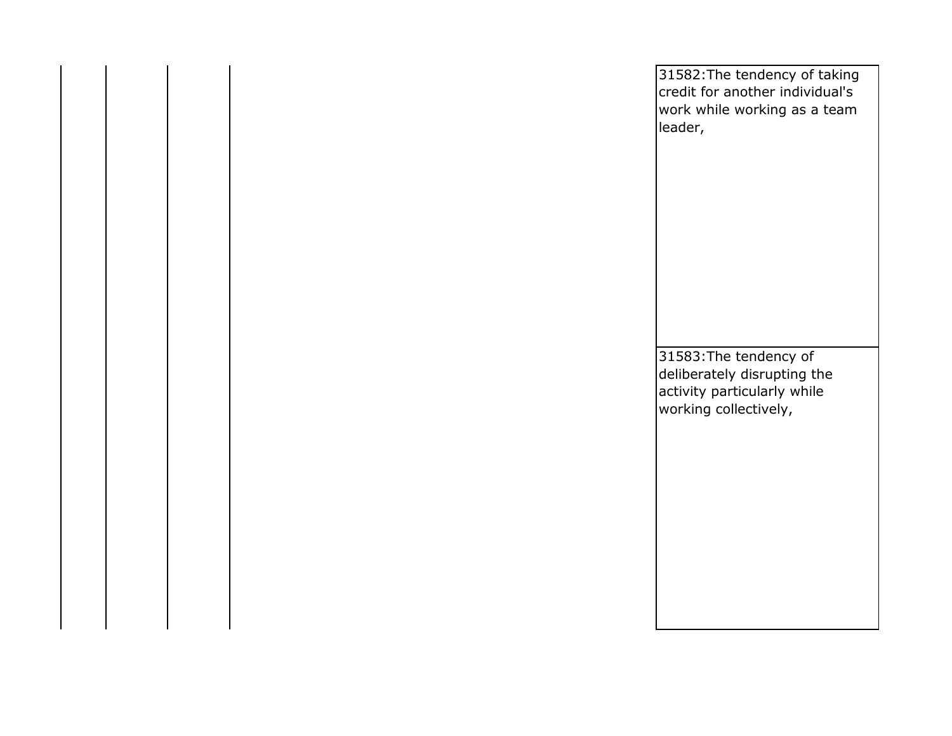| 31582: The tendency of taking<br>credit for another individual's<br>work while working as a team<br>leader,   |
|---------------------------------------------------------------------------------------------------------------|
|                                                                                                               |
| 31583: The tendency of<br>deliberately disrupting the<br>activity particularly while<br>working collectively, |
|                                                                                                               |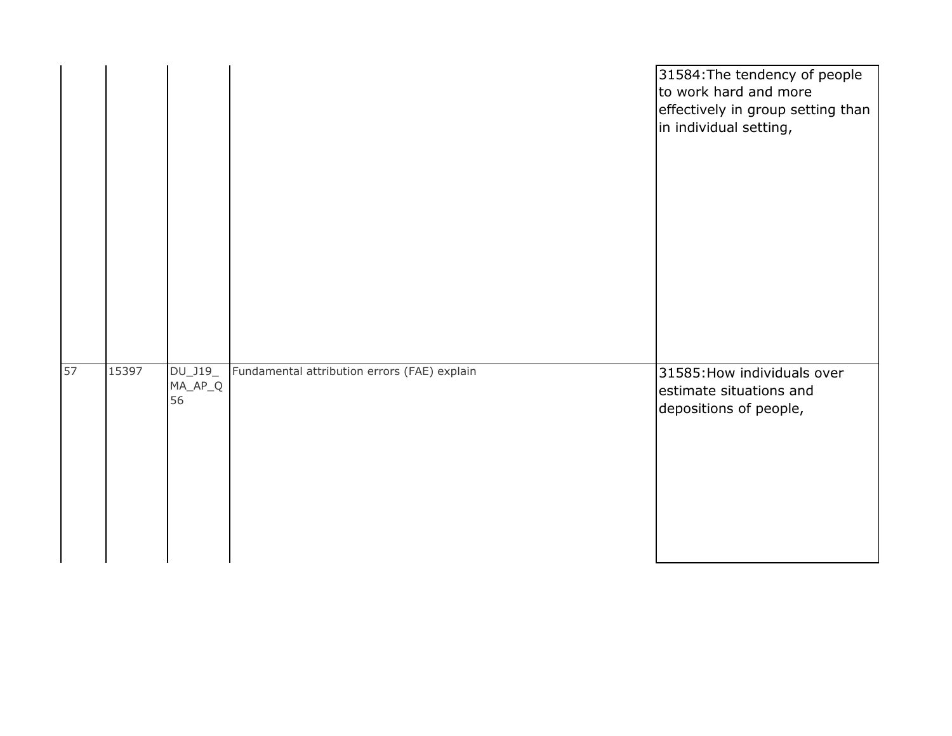|    |       |                        |                                              | 31584: The tendency of people<br>to work hard and more<br>effectively in group setting than<br>in individual setting, |
|----|-------|------------------------|----------------------------------------------|-----------------------------------------------------------------------------------------------------------------------|
| 57 | 15397 | DU_J19_<br>$MA\_AP\_Q$ | Fundamental attribution errors (FAE) explain | 31585: How individuals over<br>estimate situations and                                                                |
|    |       | 56                     |                                              | depositions of people,                                                                                                |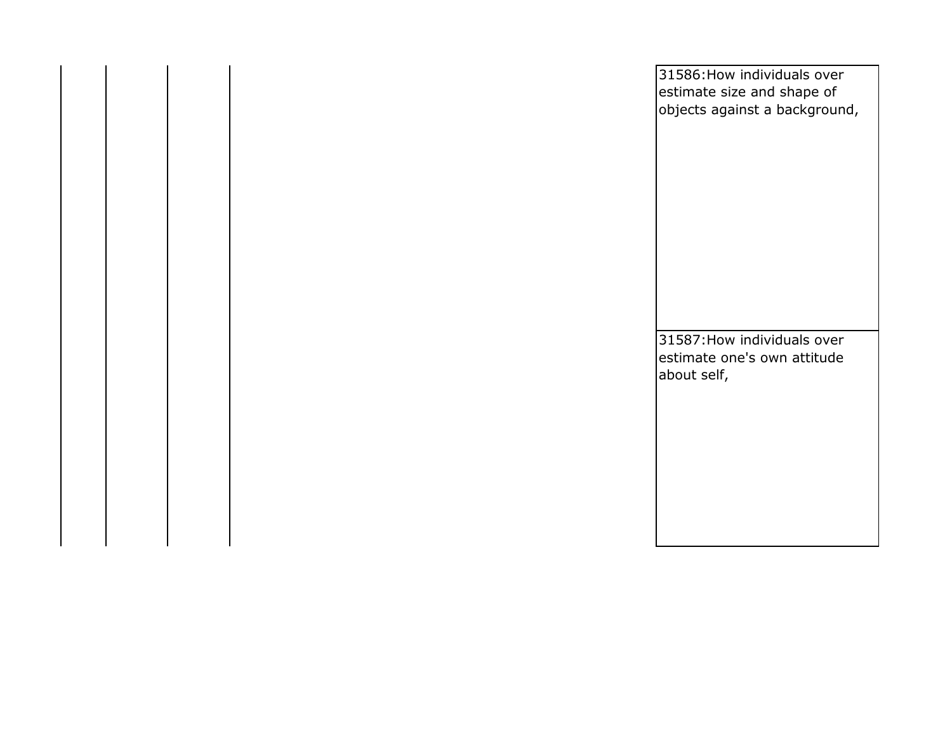|  | 31586: How individuals over<br>estimate size and shape of<br>objects against a background, |
|--|--------------------------------------------------------------------------------------------|
|  | 31587: How individuals over<br>estimate one's own attitude<br>about self,                  |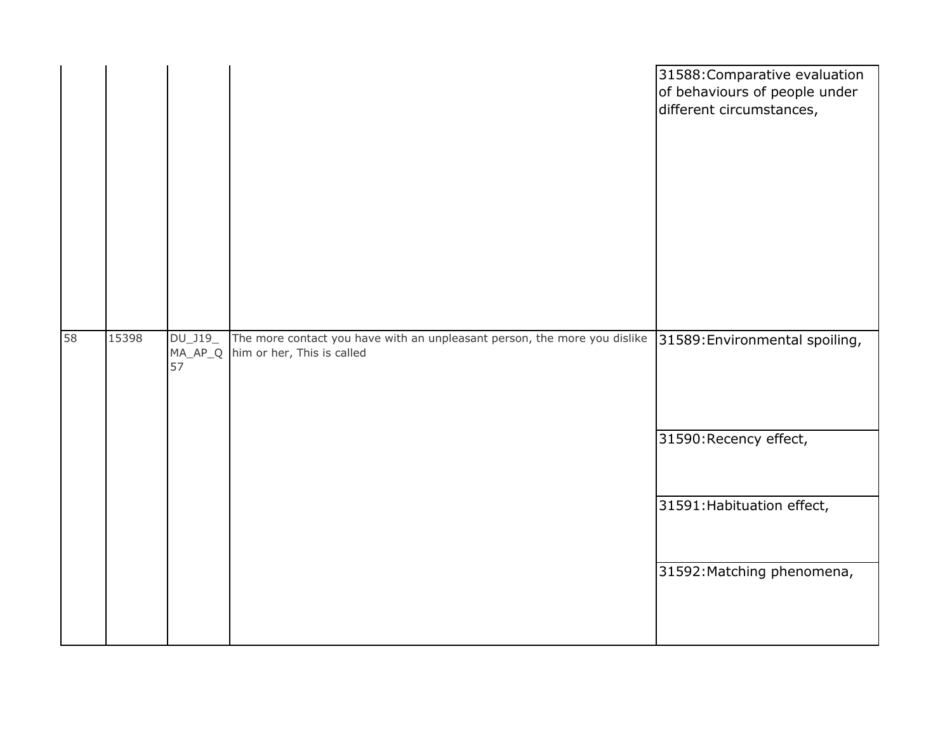|       |                                     | 31588: Comparative evaluation<br>of behaviours of people under<br>different circumstances,                                             |
|-------|-------------------------------------|----------------------------------------------------------------------------------------------------------------------------------------|
|       |                                     |                                                                                                                                        |
|       |                                     | 31590: Recency effect,                                                                                                                 |
|       |                                     | 31591: Habituation effect,                                                                                                             |
|       |                                     | 31592: Matching phenomena,                                                                                                             |
| 15398 | $DU_$ J19 $_-$<br>$MA\_AP\_Q$<br>57 | The more contact you have with an unpleasant person, the more you dislike 31589: Environmental spoiling,<br>him or her, This is called |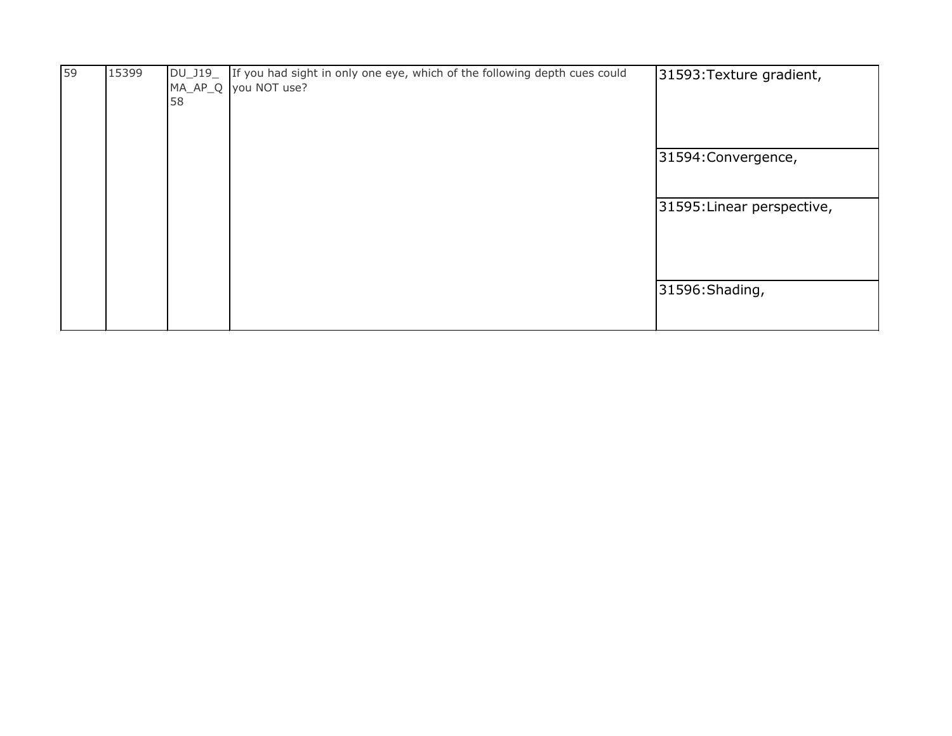| 59 | 15399 | 58 | DU_J19_ If you had sight in only one eye, which of the following depth cues could<br>MA_AP_Q you NOT use? | 31593: Texture gradient,   |
|----|-------|----|-----------------------------------------------------------------------------------------------------------|----------------------------|
|    |       |    |                                                                                                           | 31594: Convergence,        |
|    |       |    |                                                                                                           | 31595: Linear perspective, |
|    |       |    |                                                                                                           | 31596: Shading,            |
|    |       |    |                                                                                                           |                            |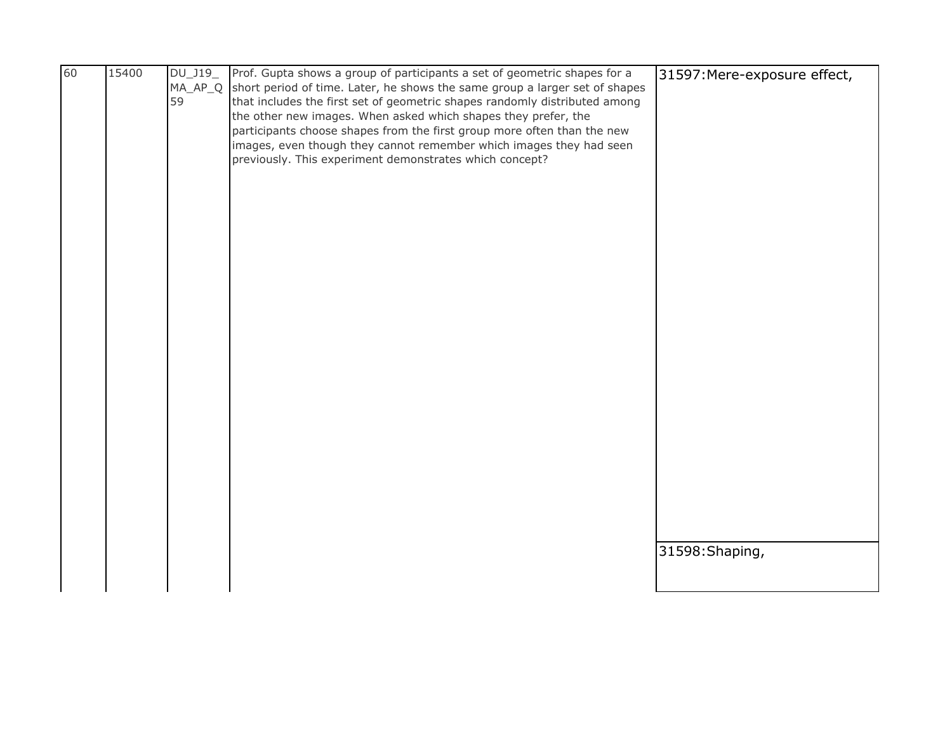| 60 | 15400 | DU_J19_ | Prof. Gupta shows a group of participants a set of geometric shapes for a                                                                                         | 31597: Mere-exposure effect, |
|----|-------|---------|-------------------------------------------------------------------------------------------------------------------------------------------------------------------|------------------------------|
|    |       | 59      | MA_AP_Q short period of time. Later, he shows the same group a larger set of shapes<br>that includes the first set of geometric shapes randomly distributed among |                              |
|    |       |         | the other new images. When asked which shapes they prefer, the                                                                                                    |                              |
|    |       |         | participants choose shapes from the first group more often than the new                                                                                           |                              |
|    |       |         | images, even though they cannot remember which images they had seen                                                                                               |                              |
|    |       |         | previously. This experiment demonstrates which concept?                                                                                                           |                              |
|    |       |         |                                                                                                                                                                   |                              |
|    |       |         |                                                                                                                                                                   |                              |
|    |       |         |                                                                                                                                                                   |                              |
|    |       |         |                                                                                                                                                                   |                              |
|    |       |         |                                                                                                                                                                   |                              |
|    |       |         |                                                                                                                                                                   |                              |
|    |       |         |                                                                                                                                                                   |                              |
|    |       |         |                                                                                                                                                                   |                              |
|    |       |         |                                                                                                                                                                   |                              |
|    |       |         |                                                                                                                                                                   |                              |
|    |       |         |                                                                                                                                                                   |                              |
|    |       |         |                                                                                                                                                                   |                              |
|    |       |         |                                                                                                                                                                   |                              |
|    |       |         |                                                                                                                                                                   |                              |
|    |       |         |                                                                                                                                                                   |                              |
|    |       |         |                                                                                                                                                                   |                              |
|    |       |         |                                                                                                                                                                   |                              |
|    |       |         |                                                                                                                                                                   |                              |
|    |       |         |                                                                                                                                                                   |                              |
|    |       |         |                                                                                                                                                                   |                              |
|    |       |         |                                                                                                                                                                   | 31598: Shaping,              |
|    |       |         |                                                                                                                                                                   |                              |
|    |       |         |                                                                                                                                                                   |                              |
|    |       |         |                                                                                                                                                                   |                              |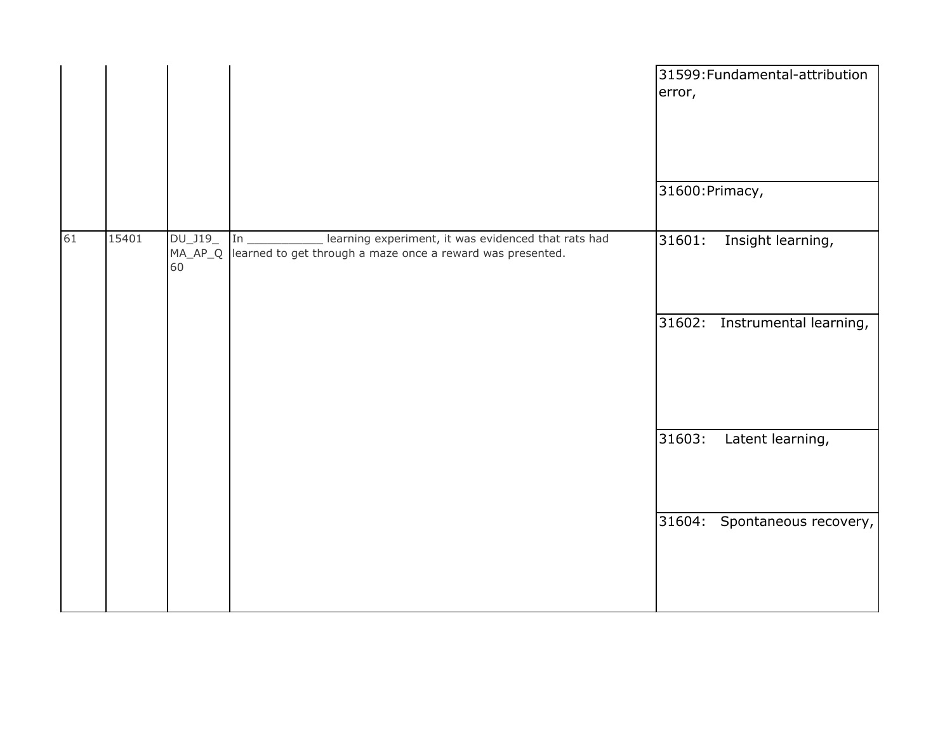|    |       |                            |                                                                                                                         | error,          | 31599: Fundamental-attribution |
|----|-------|----------------------------|-------------------------------------------------------------------------------------------------------------------------|-----------------|--------------------------------|
|    |       |                            |                                                                                                                         | 31600: Primacy, |                                |
| 61 | 15401 | DU_J19_<br>$MA_AP_Q$<br>60 | learning experiment, it was evidenced that rats had<br>In<br>learned to get through a maze once a reward was presented. | 31601:          | Insight learning,              |
|    |       |                            |                                                                                                                         |                 | 31602: Instrumental learning,  |
|    |       |                            |                                                                                                                         | 31603:          | Latent learning,               |
|    |       |                            |                                                                                                                         |                 | 31604: Spontaneous recovery,   |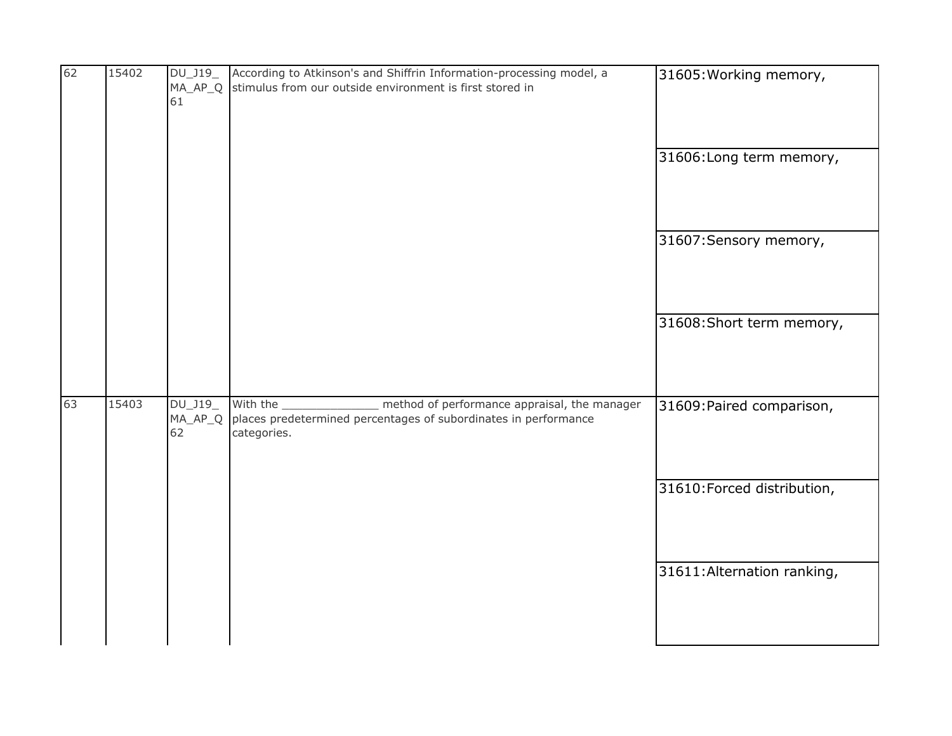| 62 | 15402 | DU_J19_<br>MA_AP_Q<br>61 | According to Atkinson's and Shiffrin Information-processing model, a<br>stimulus from our outside environment is first stored in                | 31605: Working memory,<br>31606: Long term memory,                                      |
|----|-------|--------------------------|-------------------------------------------------------------------------------------------------------------------------------------------------|-----------------------------------------------------------------------------------------|
|    |       |                          |                                                                                                                                                 | 31607: Sensory memory,<br>31608: Short term memory,                                     |
| 63 | 15403 | DU_J19_<br>MA_AP_Q<br>62 | method of performance appraisal, the manager<br>With the $\_$<br>places predetermined percentages of subordinates in performance<br>categories. | 31609: Paired comparison,<br>31610: Forced distribution,<br>31611: Alternation ranking, |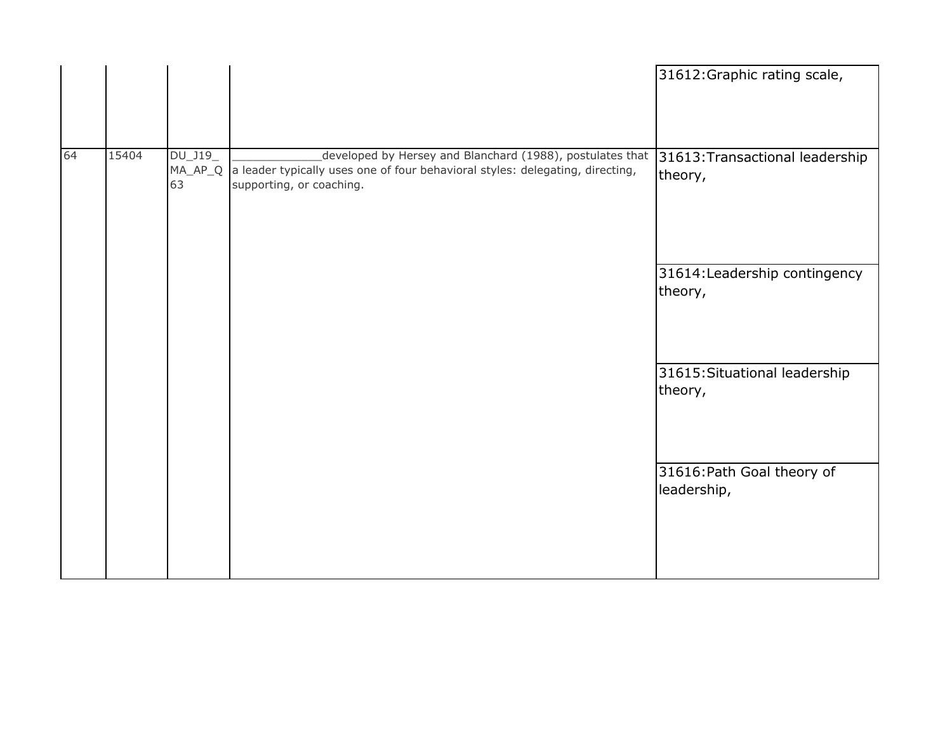|    |       |                                     |                                                                                                                                                                        | 31612: Graphic rating scale,               |
|----|-------|-------------------------------------|------------------------------------------------------------------------------------------------------------------------------------------------------------------------|--------------------------------------------|
| 64 | 15404 | $DU_$ J19 $_-$<br>$MA\_AP\_Q$<br>63 | developed by Hersey and Blanchard (1988), postulates that<br>a leader typically uses one of four behavioral styles: delegating, directing,<br>supporting, or coaching. | 31613: Transactional leadership<br>theory, |
|    |       |                                     |                                                                                                                                                                        | 31614: Leadership contingency<br>theory,   |
|    |       |                                     |                                                                                                                                                                        | 31615: Situational leadership<br>theory,   |
|    |       |                                     |                                                                                                                                                                        | 31616: Path Goal theory of<br>leadership,  |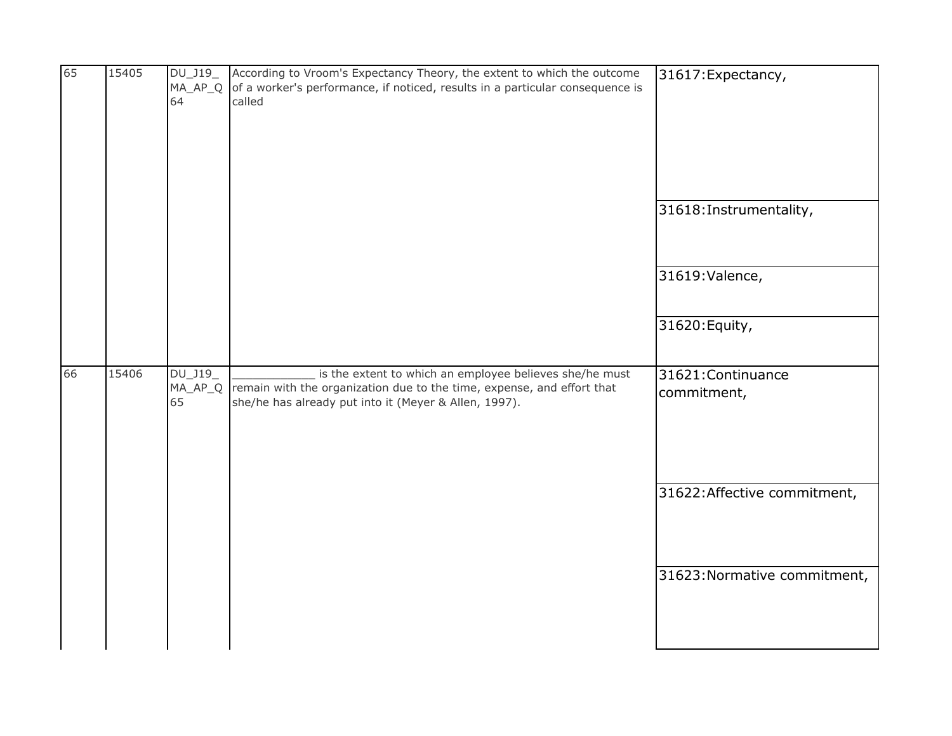| 65 | 15405 | DU_J19_<br>64                 | According to Vroom's Expectancy Theory, the extent to which the outcome<br>$MA_AP_Q$ of a worker's performance, if noticed, results in a particular consequence is<br>called               | 31617: Expectancy,<br>31618: Instrumentality, |
|----|-------|-------------------------------|--------------------------------------------------------------------------------------------------------------------------------------------------------------------------------------------|-----------------------------------------------|
|    |       |                               |                                                                                                                                                                                            | 31619: Valence,                               |
|    |       |                               |                                                                                                                                                                                            | 31620: Equity,                                |
| 66 | 15406 | $DU_$ J19_<br>$MA_AP_Q$<br>65 | is the extent to which an employee believes she/he must<br>remain with the organization due to the time, expense, and effort that<br>she/he has already put into it (Meyer & Allen, 1997). | 31621: Continuance<br>commitment,             |
|    |       |                               |                                                                                                                                                                                            | 31622: Affective commitment,                  |
|    |       |                               |                                                                                                                                                                                            | 31623: Normative commitment,                  |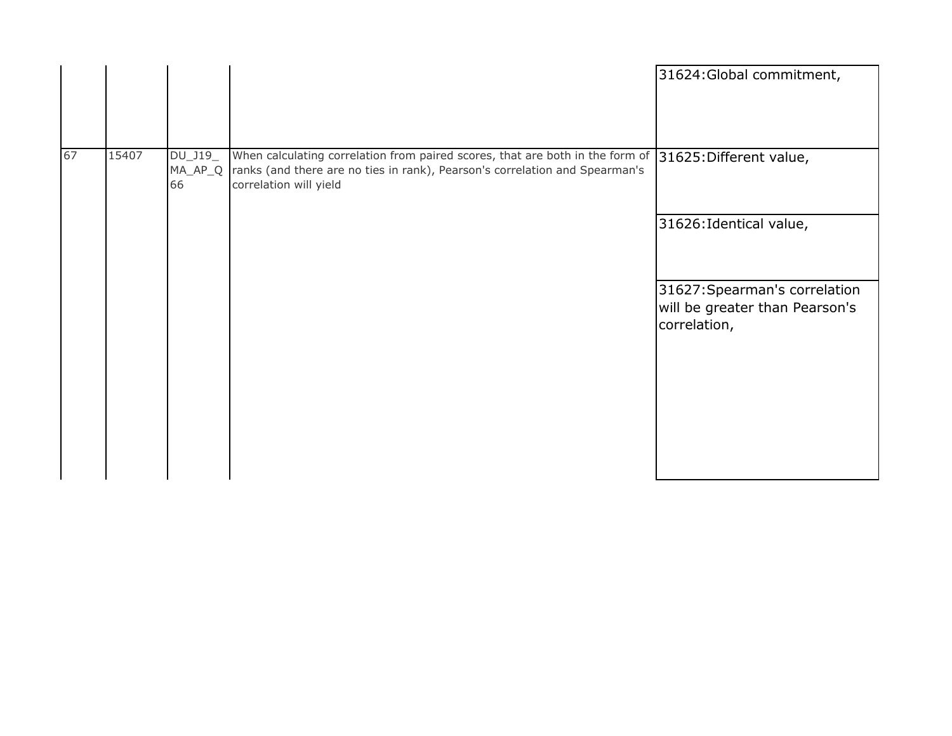|    |       |                              |                                                                                                                                                                                                                | 31624: Global commitment,                                                       |
|----|-------|------------------------------|----------------------------------------------------------------------------------------------------------------------------------------------------------------------------------------------------------------|---------------------------------------------------------------------------------|
| 67 | 15407 | DU_J19_<br>$MA\_AP\_Q$<br>66 | When calculating correlation from paired scores, that are both in the form of 31625: Different value,<br>ranks (and there are no ties in rank), Pearson's correlation and Spearman's<br>correlation will yield |                                                                                 |
|    |       |                              |                                                                                                                                                                                                                | 31626: Identical value,                                                         |
|    |       |                              |                                                                                                                                                                                                                | 31627: Spearman's correlation<br>will be greater than Pearson's<br>correlation, |
|    |       |                              |                                                                                                                                                                                                                |                                                                                 |
|    |       |                              |                                                                                                                                                                                                                |                                                                                 |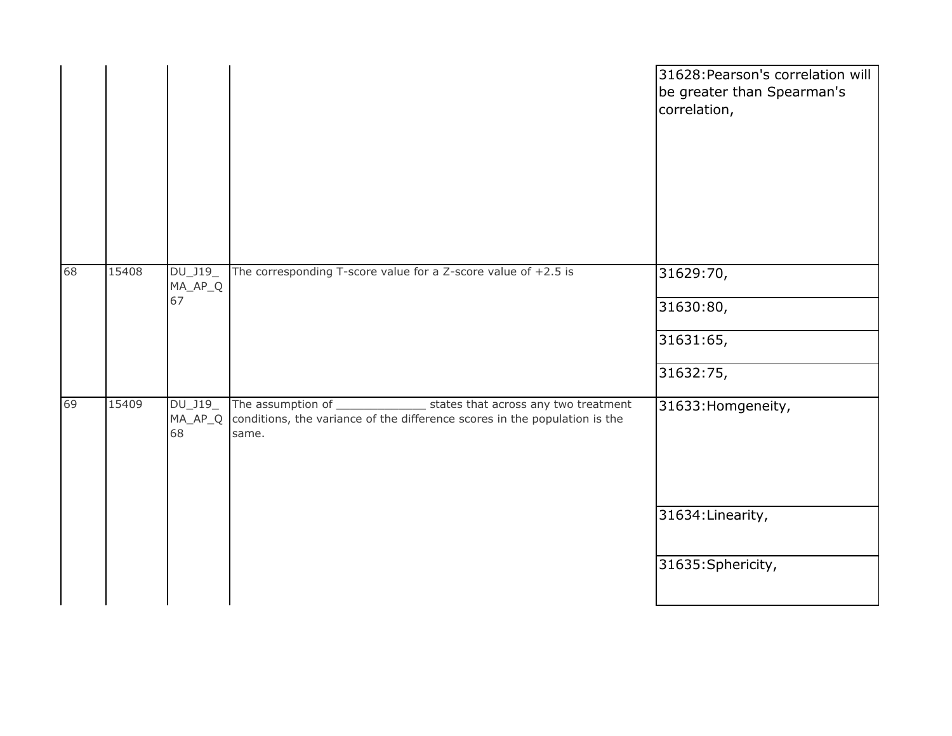|    |       |                            |                                                                                                                                                    | 31628: Pearson's correlation will<br>be greater than Spearman's<br>correlation, |
|----|-------|----------------------------|----------------------------------------------------------------------------------------------------------------------------------------------------|---------------------------------------------------------------------------------|
| 68 | 15408 | DU_J19_<br>MA_AP_Q<br>67   | The corresponding T-score value for a Z-score value of $+2.5$ is                                                                                   | 31629:70,<br>31630:80,<br>31631:65,                                             |
|    |       |                            |                                                                                                                                                    | 31632:75,                                                                       |
| 69 | 15409 | DU_J19_<br>$MA_AP_Q$<br>68 | The assumption of _<br>states that across any two treatment<br>conditions, the variance of the difference scores in the population is the<br>same. | 31633: Homgeneity,                                                              |
|    |       |                            |                                                                                                                                                    | 31634: Linearity,                                                               |
|    |       |                            |                                                                                                                                                    | 31635: Sphericity,                                                              |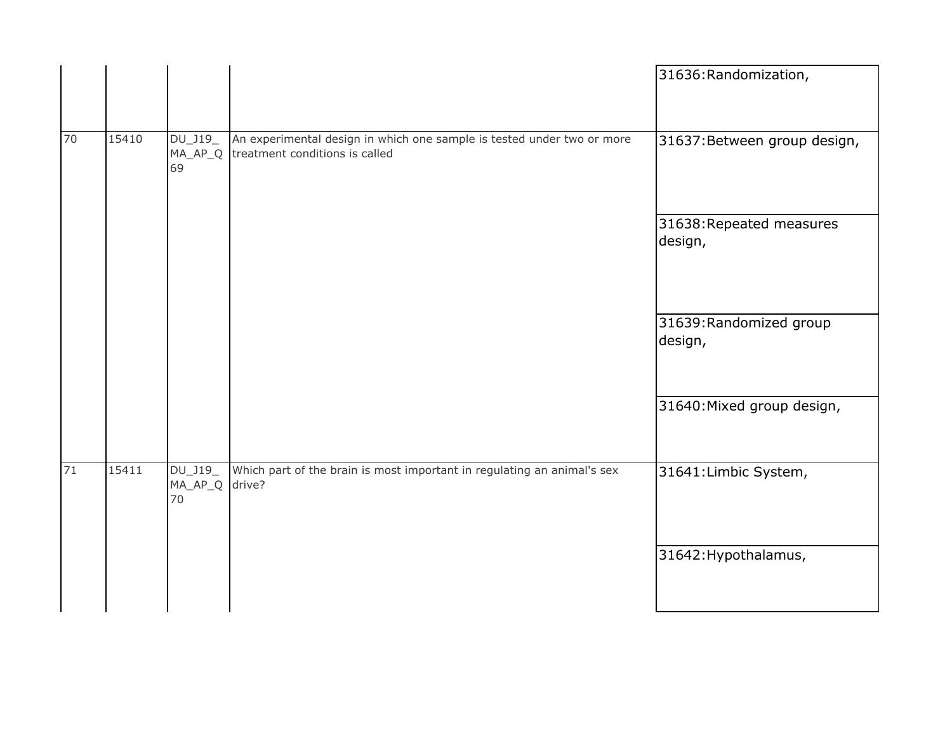|    |       |                          |                                                                                                          | 31636: Randomization,               |
|----|-------|--------------------------|----------------------------------------------------------------------------------------------------------|-------------------------------------|
| 70 | 15410 | DU_J19_<br>MA_AP_Q<br>69 | An experimental design in which one sample is tested under two or more<br>treatment conditions is called | 31637: Between group design,        |
|    |       |                          |                                                                                                          | 31638: Repeated measures<br>design, |
|    |       |                          |                                                                                                          | 31639: Randomized group<br>design,  |
|    |       |                          |                                                                                                          | 31640: Mixed group design,          |
| 71 | 15411 | DU_J19_<br>MA_AP_Q<br>70 | Which part of the brain is most important in regulating an animal's sex<br>drive?                        | 31641: Limbic System,               |
|    |       |                          |                                                                                                          | 31642: Hypothalamus,                |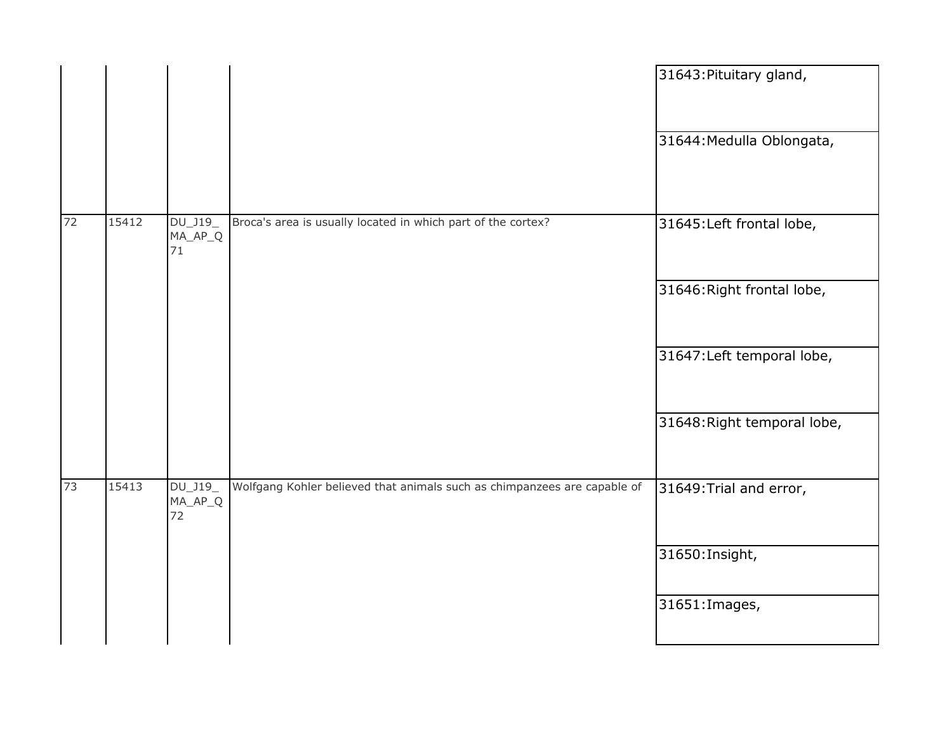|    |       |                            |                                                                          | 31643: Pituitary gland,     |
|----|-------|----------------------------|--------------------------------------------------------------------------|-----------------------------|
|    |       |                            |                                                                          | 31644: Medulla Oblongata,   |
| 72 | 15412 | DU_J19_<br>MA_AP_Q<br>71   | Broca's area is usually located in which part of the cortex?             | 31645: Left frontal lobe,   |
|    |       |                            |                                                                          | 31646: Right frontal lobe,  |
|    |       |                            |                                                                          | 31647: Left temporal lobe,  |
|    |       |                            |                                                                          | 31648: Right temporal lobe, |
| 73 | 15413 | DU_J19_<br>$MA_AP_Q$<br>72 | Wolfgang Kohler believed that animals such as chimpanzees are capable of | 31649: Trial and error,     |
|    |       |                            |                                                                          | 31650: Insight,             |
|    |       |                            |                                                                          | 31651: Images,              |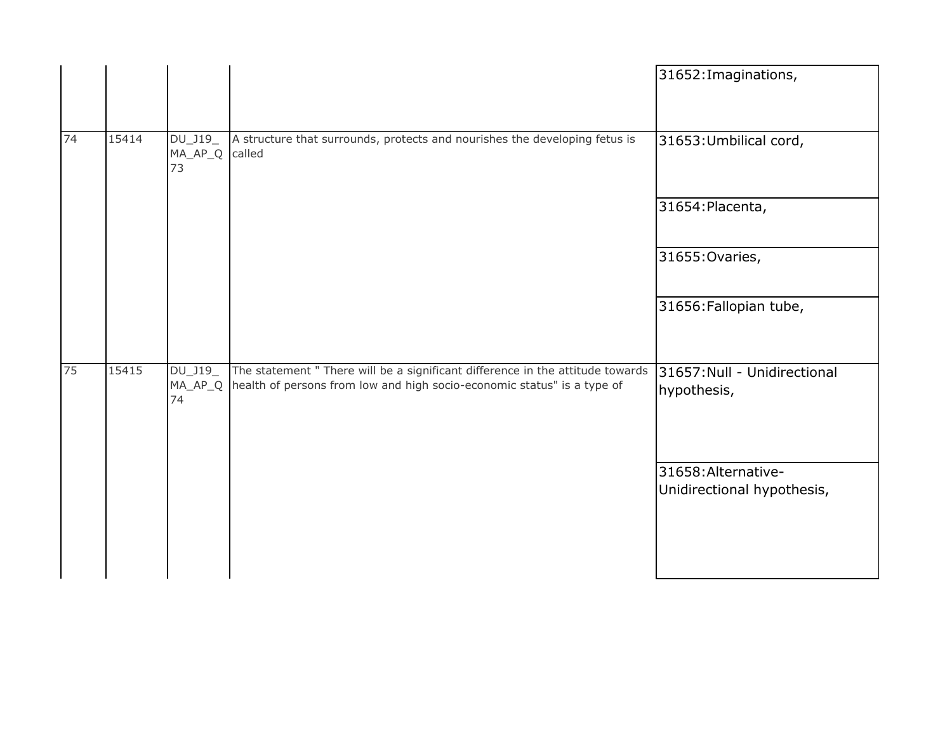|    |       |                              |                                                                                                                                                           | 31652: Imaginations,                              |
|----|-------|------------------------------|-----------------------------------------------------------------------------------------------------------------------------------------------------------|---------------------------------------------------|
| 74 | 15414 | DU_J19_<br>$MA_AP_Q$<br>73   | A structure that surrounds, protects and nourishes the developing fetus is<br>called                                                                      | 31653: Umbilical cord,                            |
|    |       |                              |                                                                                                                                                           | 31654: Placenta,                                  |
|    |       |                              |                                                                                                                                                           | 31655: Ovaries,                                   |
|    |       |                              |                                                                                                                                                           | 31656: Fallopian tube,                            |
| 75 | 15415 | DU_J19_<br>$MA\_AP\_Q$<br>74 | The statement " There will be a significant difference in the attitude towards<br>health of persons from low and high socio-economic status" is a type of | 31657: Null - Unidirectional<br>hypothesis,       |
|    |       |                              |                                                                                                                                                           | 31658: Alternative-<br>Unidirectional hypothesis, |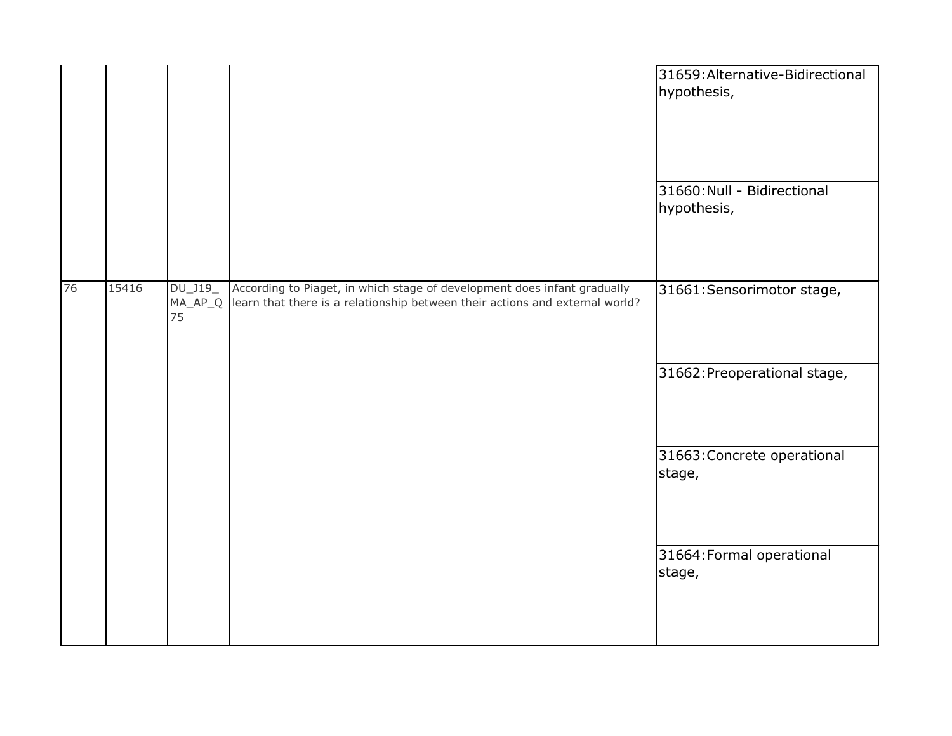|    |       |                            |                                                                                                                                                          | 31659: Alternative-Bidirectional<br>hypothesis,<br>31660: Null - Bidirectional |
|----|-------|----------------------------|----------------------------------------------------------------------------------------------------------------------------------------------------------|--------------------------------------------------------------------------------|
|    |       |                            |                                                                                                                                                          | hypothesis,                                                                    |
| 76 | 15416 | DU_J19_<br>$MA_AP_Q$<br>75 | According to Piaget, in which stage of development does infant gradually<br>learn that there is a relationship between their actions and external world? | 31661: Sensorimotor stage,                                                     |
|    |       |                            |                                                                                                                                                          | 31662: Preoperational stage,                                                   |
|    |       |                            |                                                                                                                                                          | 31663: Concrete operational<br>stage,                                          |
|    |       |                            |                                                                                                                                                          | 31664: Formal operational<br>stage,                                            |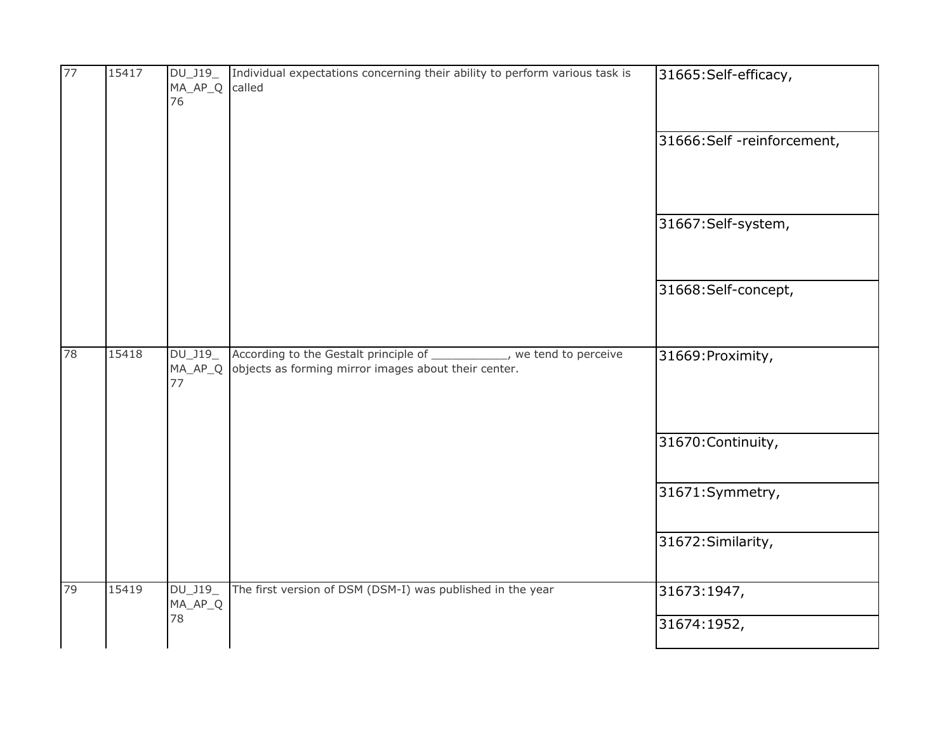| 77 | 15417 | DU_J19_<br>MA_AP_Q<br>76 | Individual expectations concerning their ability to perform various task is<br>called                                                   | 31665:Self-efficacy,<br>31666:Self -reinforcement, |
|----|-------|--------------------------|-----------------------------------------------------------------------------------------------------------------------------------------|----------------------------------------------------|
|    |       |                          |                                                                                                                                         |                                                    |
|    |       |                          |                                                                                                                                         | 31667:Self-system,                                 |
|    |       |                          |                                                                                                                                         | 31668:Self-concept,                                |
| 78 | 15418 | DU_J19_<br>77            | According to the Gestalt principle of ____________, we tend to perceive<br>MA_AP_Q objects as forming mirror images about their center. | 31669: Proximity,                                  |
|    |       |                          |                                                                                                                                         | 31670: Continuity,                                 |
|    |       |                          |                                                                                                                                         | 31671:Symmetry,                                    |
|    |       |                          |                                                                                                                                         | 31672: Similarity,                                 |
| 79 | 15419 | DU_J19_<br>MA_AP_Q       | The first version of DSM (DSM-I) was published in the year                                                                              | 31673:1947,                                        |
|    |       | 78                       |                                                                                                                                         | 31674:1952,                                        |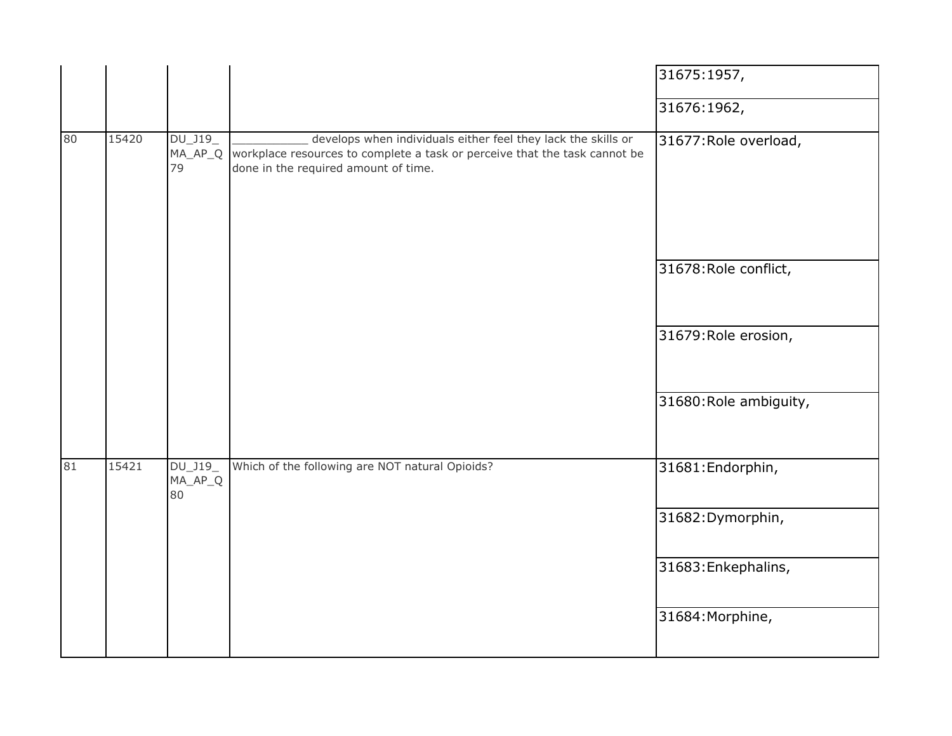|    |       |                          |                                                                                                                                                                                             | 31675:1957,            |
|----|-------|--------------------------|---------------------------------------------------------------------------------------------------------------------------------------------------------------------------------------------|------------------------|
|    |       |                          |                                                                                                                                                                                             | 31676:1962,            |
| 80 | 15420 | $DU_$ J19 $_$<br>79      | develops when individuals either feel they lack the skills or<br>MA_AP_Q workplace resources to complete a task or perceive that the task cannot be<br>done in the required amount of time. | 31677: Role overload,  |
|    |       |                          |                                                                                                                                                                                             | 31678: Role conflict,  |
|    |       |                          |                                                                                                                                                                                             | 31679: Role erosion,   |
|    |       |                          |                                                                                                                                                                                             | 31680: Role ambiguity, |
| 81 | 15421 | DU_J19_<br>MA_AP_Q<br>80 | Which of the following are NOT natural Opioids?                                                                                                                                             | 31681: Endorphin,      |
|    |       |                          |                                                                                                                                                                                             | 31682: Dymorphin,      |
|    |       |                          |                                                                                                                                                                                             | 31683: Enkephalins,    |
|    |       |                          |                                                                                                                                                                                             | 31684: Morphine,       |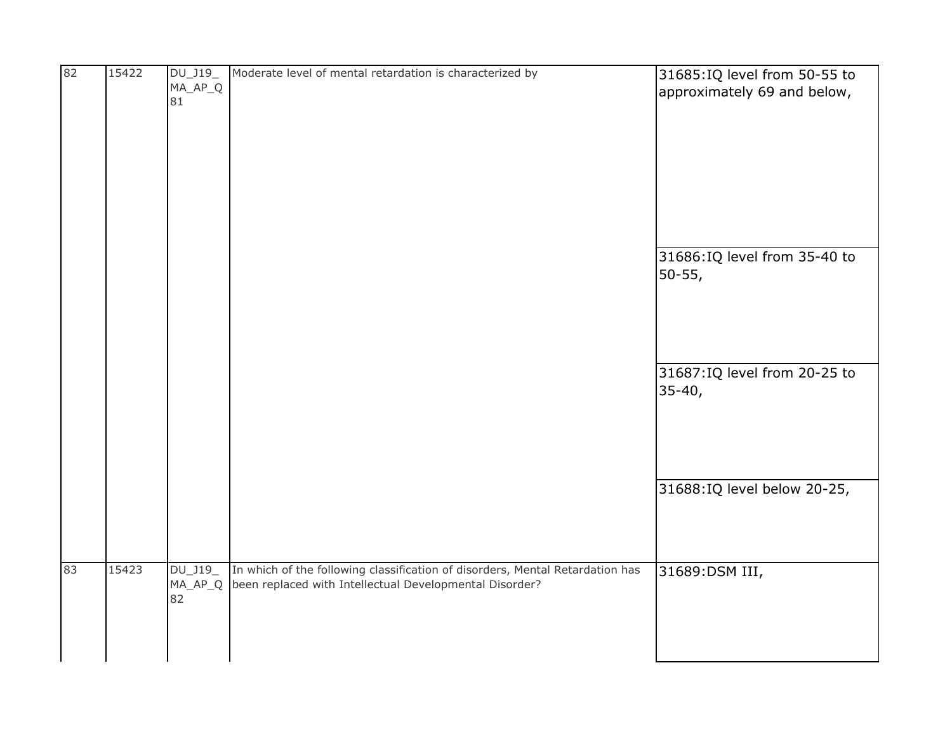| 82 | 15422 | DU_J19_<br>MA_AP_Q<br>81 | Moderate level of mental retardation is characterized by                                                                                 | 31685: IQ level from 50-55 to<br>approximately 69 and below, |
|----|-------|--------------------------|------------------------------------------------------------------------------------------------------------------------------------------|--------------------------------------------------------------|
|    |       |                          |                                                                                                                                          | 31686: IQ level from 35-40 to<br>50-55,                      |
|    |       |                          |                                                                                                                                          | 31687: IQ level from 20-25 to<br>$35 - 40,$                  |
|    |       |                          |                                                                                                                                          | 31688:IQ level below 20-25,                                  |
| 83 | 15423 | DU_J19_<br>MA_AP_Q<br>82 | In which of the following classification of disorders, Mental Retardation has<br>been replaced with Intellectual Developmental Disorder? | 31689:DSM III,                                               |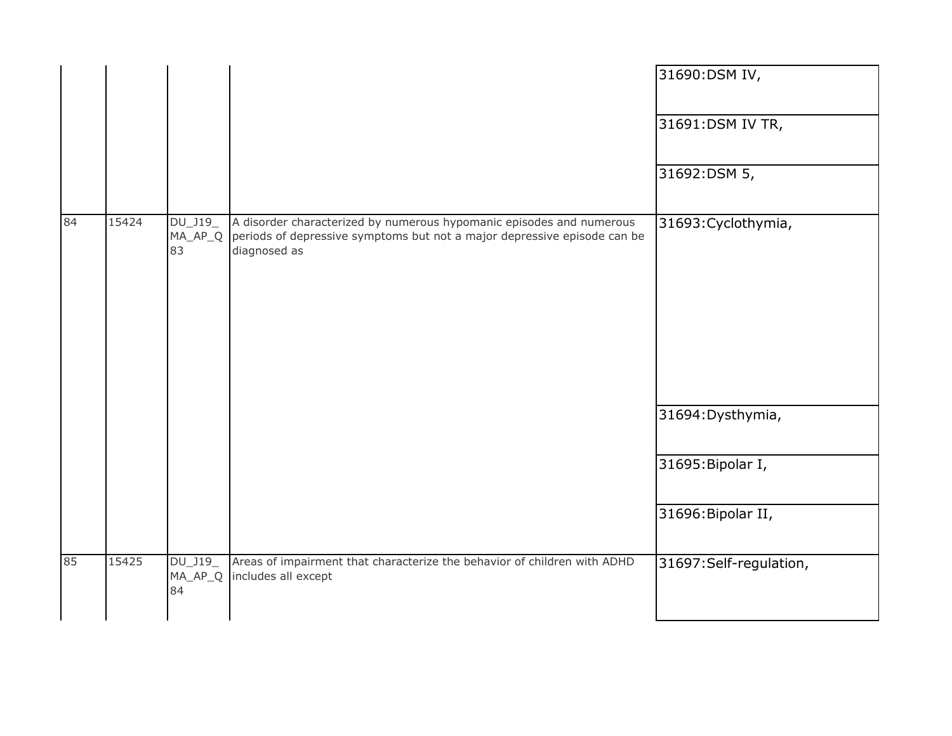|    |       |                                    |                                                                                                                                                                  | 31690:DSM IV,          |
|----|-------|------------------------------------|------------------------------------------------------------------------------------------------------------------------------------------------------------------|------------------------|
|    |       |                                    |                                                                                                                                                                  | 31691:DSM IV TR,       |
|    |       |                                    |                                                                                                                                                                  | 31692:DSM 5,           |
| 84 | 15424 | $DU_$ J19 $_$<br>$MA\_AP\_Q$<br>83 | A disorder characterized by numerous hypomanic episodes and numerous<br>periods of depressive symptoms but not a major depressive episode can be<br>diagnosed as | 31693: Cyclothymia,    |
|    |       |                                    |                                                                                                                                                                  | 31694: Dysthymia,      |
|    |       |                                    |                                                                                                                                                                  | 31695: Bipolar I,      |
|    |       |                                    |                                                                                                                                                                  | 31696: Bipolar II,     |
| 85 | 15425 | DU_J19_<br>$MA\_AP\_Q$<br>84       | Areas of impairment that characterize the behavior of children with ADHD<br>includes all except                                                                  | 31697:Self-regulation, |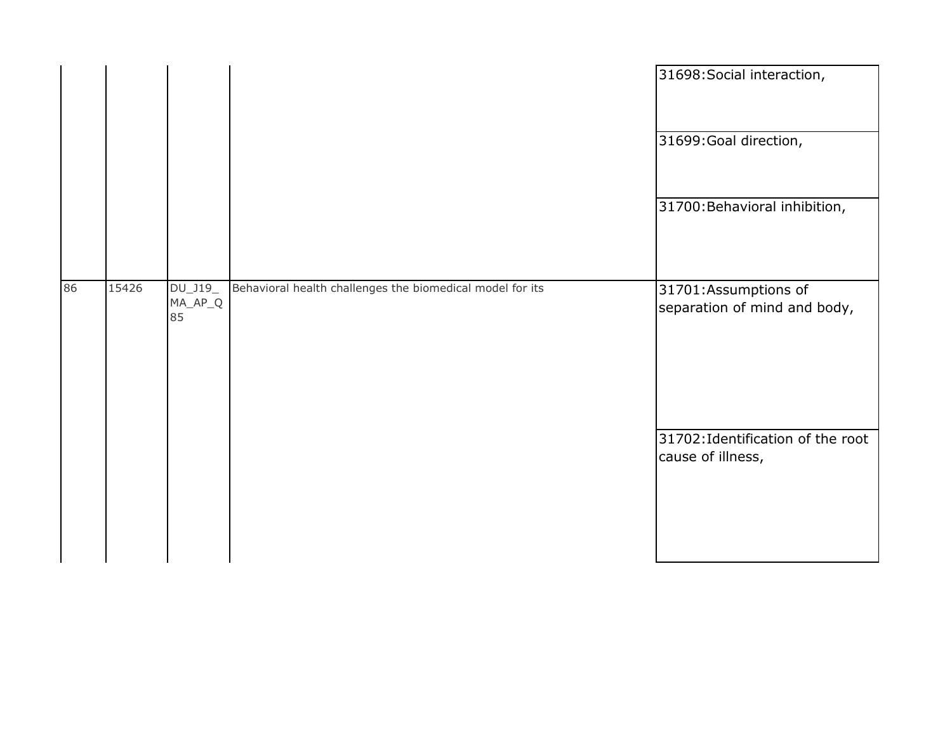|    |       |                          |                                                           | 31698: Social interaction,                             |
|----|-------|--------------------------|-----------------------------------------------------------|--------------------------------------------------------|
|    |       |                          |                                                           | 31699: Goal direction,                                 |
|    |       |                          |                                                           | 31700: Behavioral inhibition,                          |
| 86 | 15426 | DU_J19_<br>MA_AP_Q<br>85 | Behavioral health challenges the biomedical model for its | 31701:Assumptions of<br>separation of mind and body,   |
|    |       |                          |                                                           | 31702: Identification of the root<br>cause of illness, |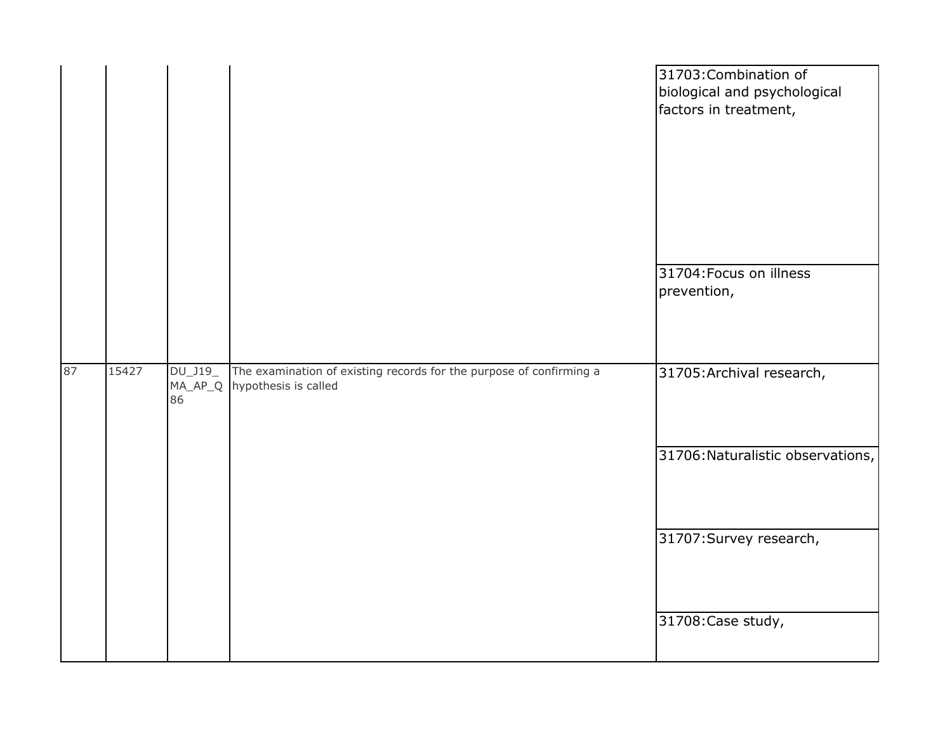|    |       |                      |                                                                                                     | 31703: Combination of<br>biological and psychological<br>factors in treatment, |
|----|-------|----------------------|-----------------------------------------------------------------------------------------------------|--------------------------------------------------------------------------------|
|    |       |                      |                                                                                                     | 31704: Focus on illness<br>prevention,                                         |
| 87 | 15427 | $DU_$ J19 $_-$<br>86 | The examination of existing records for the purpose of confirming a<br>MA_AP_Q hypothesis is called | 31705: Archival research,                                                      |
|    |       |                      |                                                                                                     | 31706: Naturalistic observations,                                              |
|    |       |                      |                                                                                                     | 31707: Survey research,                                                        |
|    |       |                      |                                                                                                     | 31708: Case study,                                                             |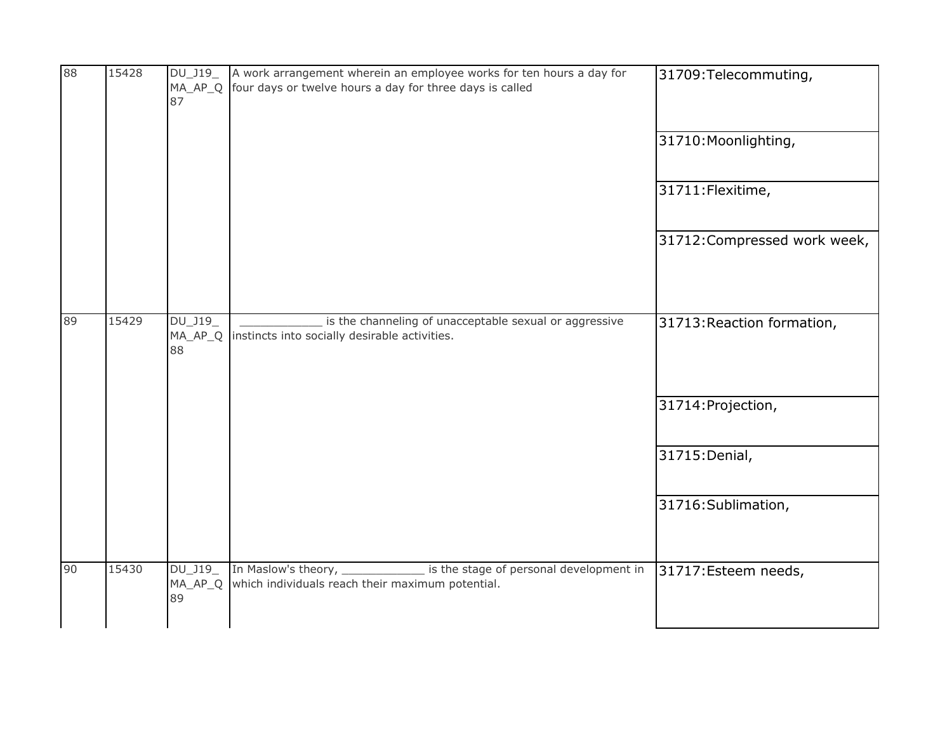| 88 | 15428 | DU_J19_<br>MA_AP_Q<br>87     | A work arrangement wherein an employee works for ten hours a day for<br>four days or twelve hours a day for three days is called | 31709: Telecommuting,        |
|----|-------|------------------------------|----------------------------------------------------------------------------------------------------------------------------------|------------------------------|
|    |       |                              |                                                                                                                                  | 31710: Moonlighting,         |
|    |       |                              |                                                                                                                                  | 31711: Flexitime,            |
|    |       |                              |                                                                                                                                  | 31712: Compressed work week, |
| 89 | 15429 | DU_J19<br>MA_AP_Q<br>88      | is the channeling of unacceptable sexual or aggressive<br>instincts into socially desirable activities.                          | 31713: Reaction formation,   |
|    |       |                              |                                                                                                                                  | 31714: Projection,           |
|    |       |                              |                                                                                                                                  | 31715: Denial,               |
|    |       |                              |                                                                                                                                  | 31716: Sublimation,          |
| 90 | 15430 | DU_J19_<br>$MA\_AP\_Q$<br>89 | In Maslow's theory, _____________ is the stage of personal development in<br>which individuals reach their maximum potential.    | 31717: Esteem needs,         |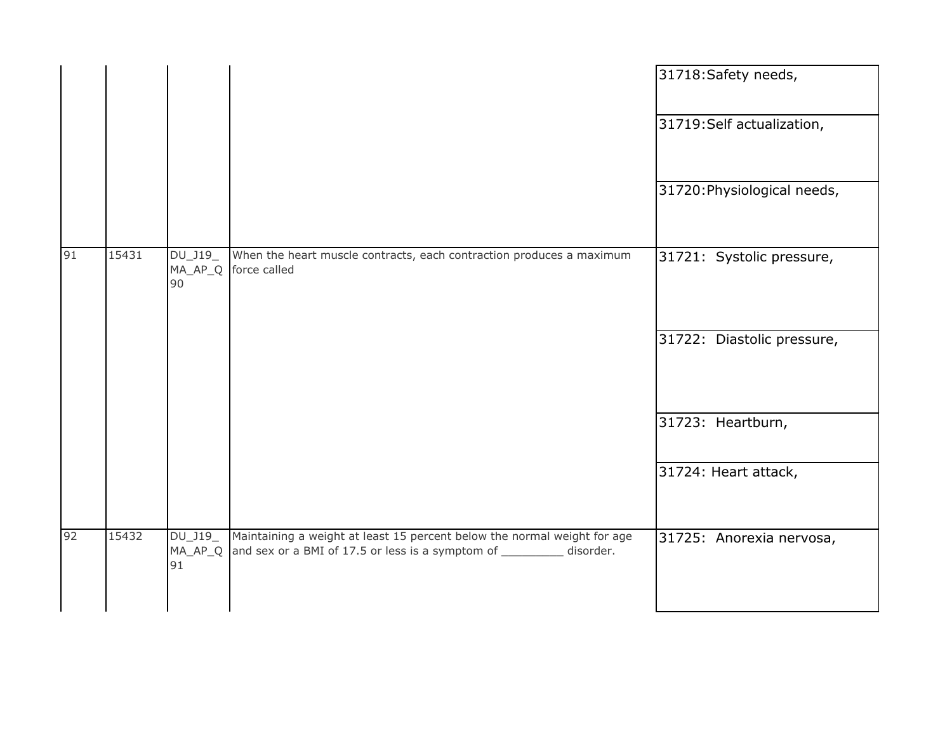|    |       |                          |                                                                                                                                                    | 31718: Safety needs,        |
|----|-------|--------------------------|----------------------------------------------------------------------------------------------------------------------------------------------------|-----------------------------|
|    |       |                          |                                                                                                                                                    | 31719: Self actualization,  |
|    |       |                          |                                                                                                                                                    | 31720: Physiological needs, |
| 91 | 15431 | DU_J19_<br>MA_AP_Q<br>90 | When the heart muscle contracts, each contraction produces a maximum<br>force called                                                               | 31721: Systolic pressure,   |
|    |       |                          |                                                                                                                                                    | 31722: Diastolic pressure,  |
|    |       |                          |                                                                                                                                                    | 31723: Heartburn,           |
|    |       |                          |                                                                                                                                                    | 31724: Heart attack,        |
| 92 | 15432 | DU_J19<br>MA_AP_Q<br>91  | Maintaining a weight at least 15 percent below the normal weight for age<br>and sex or a BMI of 17.5 or less is a symptom of ___________ disorder. | 31725: Anorexia nervosa,    |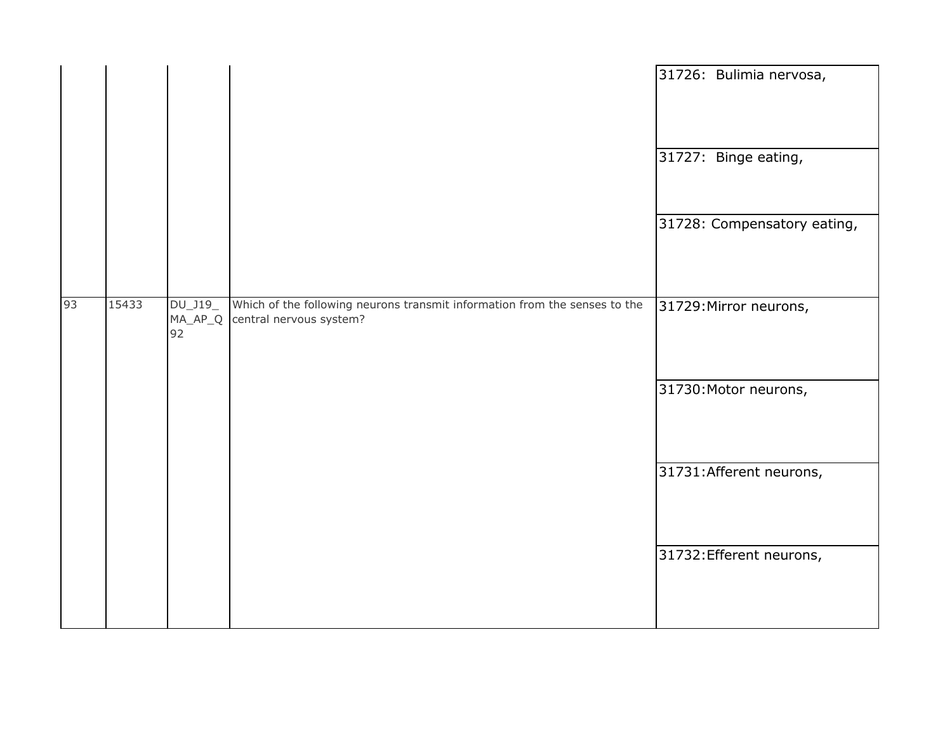|    |       |                               |                                                                                                       | 31726: Bulimia nervosa,     |
|----|-------|-------------------------------|-------------------------------------------------------------------------------------------------------|-----------------------------|
|    |       |                               |                                                                                                       | 31727: Binge eating,        |
|    |       |                               |                                                                                                       | 31728: Compensatory eating, |
| 93 | 15433 | $DU_$ J19_<br>$MA_AP_Q$<br>92 | Which of the following neurons transmit information from the senses to the<br>central nervous system? | 31729: Mirror neurons,      |
|    |       |                               |                                                                                                       | 31730: Motor neurons,       |
|    |       |                               |                                                                                                       | 31731: Afferent neurons,    |
|    |       |                               |                                                                                                       | 31732: Efferent neurons,    |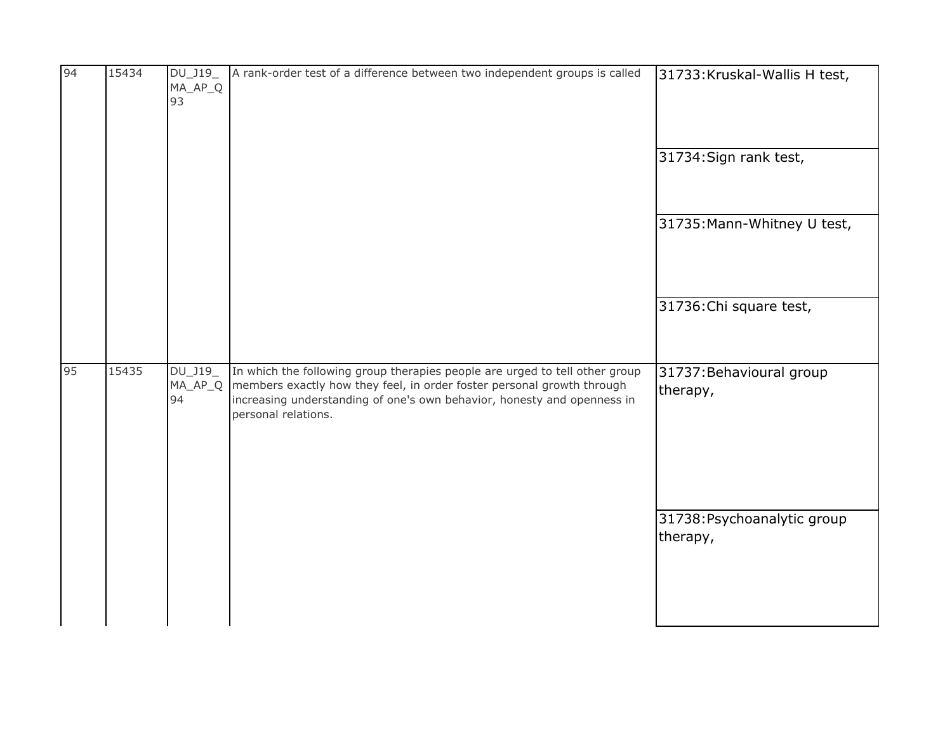| 94 | 15434 | DU_J19_<br>MA_AP_Q<br>93 | A rank-order test of a difference between two independent groups is called                                                                                                                                                                                                | 31733: Kruskal-Wallis H test,           |
|----|-------|--------------------------|---------------------------------------------------------------------------------------------------------------------------------------------------------------------------------------------------------------------------------------------------------------------------|-----------------------------------------|
|    |       |                          |                                                                                                                                                                                                                                                                           | $31734$ : Sign rank test,               |
|    |       |                          |                                                                                                                                                                                                                                                                           | 31735: Mann-Whitney U test,             |
|    |       |                          |                                                                                                                                                                                                                                                                           | 31736: Chi square test,                 |
| 95 | 15435 | 94                       | DU_J19_ In which the following group therapies people are urged to tell other group<br>MA_AP_Q   members exactly how they feel, in order foster personal growth through<br>increasing understanding of one's own behavior, honesty and openness in<br>personal relations. | 31737: Behavioural group<br>therapy,    |
|    |       |                          |                                                                                                                                                                                                                                                                           | 31738: Psychoanalytic group<br>therapy, |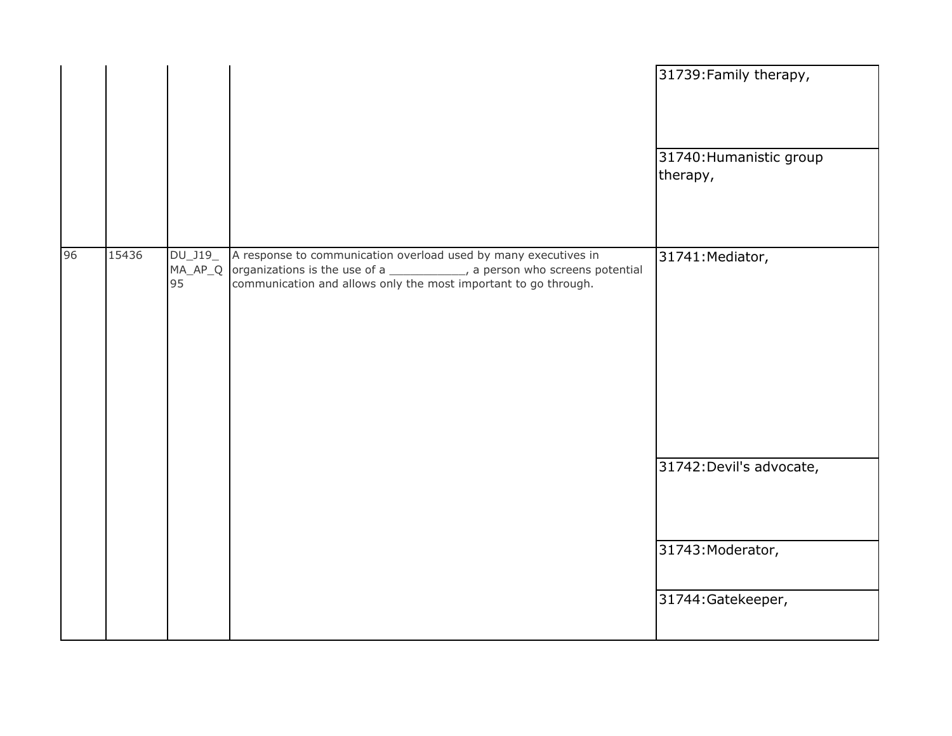|       |                     | 31739: Family therapy,<br>31740: Humanistic group<br>therapy,                                                                                                                                                             |
|-------|---------------------|---------------------------------------------------------------------------------------------------------------------------------------------------------------------------------------------------------------------------|
| 15436 |                     | 31741: Mediator,                                                                                                                                                                                                          |
|       |                     | 31742: Devil's advocate,                                                                                                                                                                                                  |
|       |                     | 31743: Moderator,<br>31744: Gatekeeper,                                                                                                                                                                                   |
|       | $DU_$ J19 $_$<br>95 | A response to communication overload used by many executives in<br>MA_AP_Q organizations is the use of a _____________, a person who screens potential<br>communication and allows only the most important to go through. |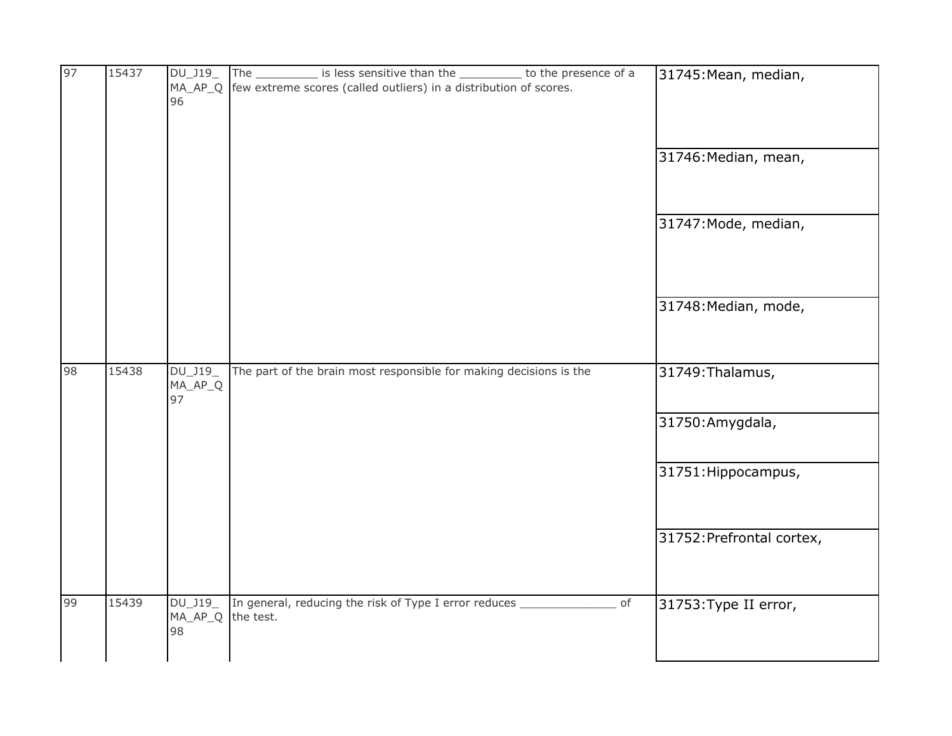| 97          | 15437 | DU_J19_<br>$MA_AP_Q$<br>96   | to the presence of a<br>The $\overline{\phantom{0}}$<br>is less sensitive than the<br>few extreme scores (called outliers) in a distribution of scores. | 31745: Mean, median,      |
|-------------|-------|------------------------------|---------------------------------------------------------------------------------------------------------------------------------------------------------|---------------------------|
|             |       |                              |                                                                                                                                                         | 31746: Median, mean,      |
|             |       |                              |                                                                                                                                                         | 31747: Mode, median,      |
|             |       |                              |                                                                                                                                                         | 31748: Median, mode,      |
| 98<br>15438 |       | DU_J19_<br>$MA\_AP\_Q$<br>97 | The part of the brain most responsible for making decisions is the                                                                                      | 31749: Thalamus,          |
|             |       |                              |                                                                                                                                                         | 31750: Amygdala,          |
|             |       |                              |                                                                                                                                                         | 31751: Hippocampus,       |
|             |       |                              |                                                                                                                                                         | 31752: Prefrontal cortex, |
| 99          | 15439 | DU_J19_<br>$MA\_AP\_Q$<br>98 | In general, reducing the risk of Type I error reduces<br>of<br>the test.                                                                                | 31753: Type II error,     |